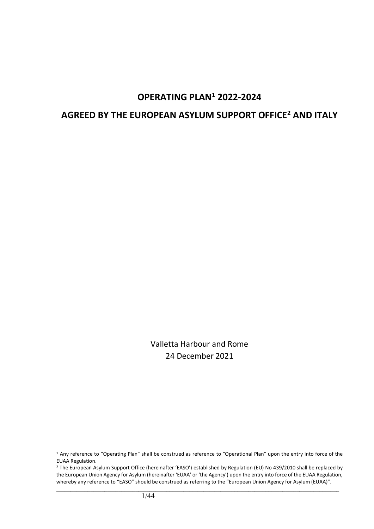# **OPERATING PLAN[1](#page-0-0) 2022-2024**

# **AGREED BY THE EUROPEAN ASYLUM SUPPORT OFFICE[2](#page-0-1) AND ITALY**

Valletta Harbour and Rome 24 December 2021

<span id="page-0-0"></span><sup>&</sup>lt;sup>1</sup> Any reference to "Operating Plan" shall be construed as reference to "Operational Plan" upon the entry into force of the EUAA Regulation.

<span id="page-0-1"></span><sup>&</sup>lt;sup>2</sup> The European Asylum Support Office (hereinafter 'EASO') established by Regulation (EU) No 439/2010 shall be replaced by the European Union Agency for Asylum (hereinafter 'EUAA' or 'the Agency') upon the entry into force of the EUAA Regulation, whereby any reference to "EASO" should be construed as referring to the "European Union Agency for Asylum (EUAA)".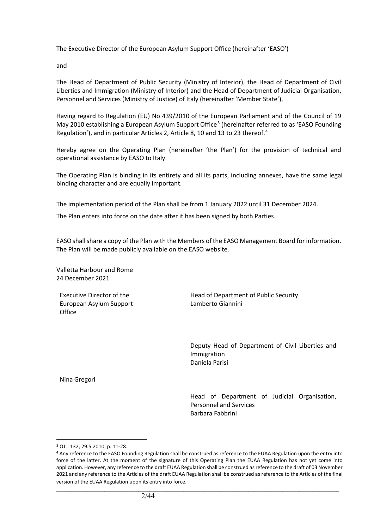The Executive Director of the European Asylum Support Office (hereinafter 'EASO')

and

The Head of Department of Public Security (Ministry of Interior), the Head of Department of Civil Liberties and Immigration (Ministry of Interior) and the Head of Department of Judicial Organisation, Personnel and Services (Ministry of Justice) of Italy (hereinafter 'Member State'),

Having regard to Regulation (EU) No 439/2010 of the European Parliament and of the Council of 19 May 2010 establishing a European Asylum Support Office<sup>[3](#page-1-0)</sup> (hereinafter referred to as 'EASO Founding Regulation'), and in particular Articles 2, Article 8, 10 and 13 to 23 thereof.<sup>[4](#page-1-1)</sup>

Hereby agree on the Operating Plan (hereinafter 'the Plan') for the provision of technical and operational assistance by EASO to Italy.

The Operating Plan is binding in its entirety and all its parts, including annexes, have the same legal binding character and are equally important.

The implementation period of the Plan shall be from 1 January 2022 until 31 December 2024.

The Plan enters into force on the date after it has been signed by both Parties.

EASO shall share a copy of the Plan with the Members of the EASO Management Board for information. The Plan will be made publicly available on the EASO website.

Valletta Harbour and Rome 24 December 2021

Executive Director of the European Asylum Support **Office** 

Head of Department of Public Security Lamberto Giannini

Deputy Head of Department of Civil Liberties and Immigration Daniela Parisi

Nina Gregori

Head of Department of Judicial Organisation, Personnel and Services Barbara Fabbrini

<span id="page-1-0"></span><sup>3</sup> OJ L 132, 29.5.2010, p. 11-28.

<span id="page-1-1"></span><sup>4</sup> Any reference to the EASO Founding Regulation shall be construed as reference to the EUAA Regulation upon the entry into force of the latter. At the moment of the signature of this Operating Plan the EUAA Regulation has not yet come into application. However, any reference to the draft EUAA Regulation shall be construed as reference to the draft of 03 November 2021 and any reference to the Articles of the draft EUAA Regulation shall be construed as reference to the Articles of the final version of the EUAA Regulation upon its entry into force.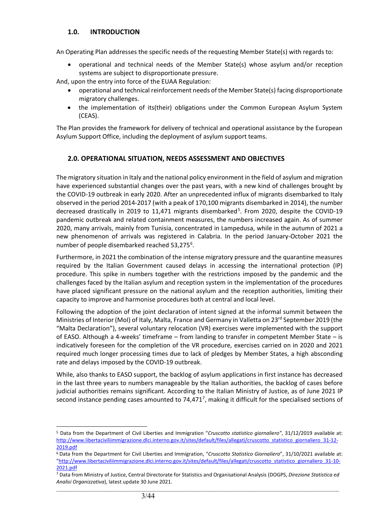# **1.0. INTRODUCTION**

An Operating Plan addresses the specific needs of the requesting Member State(s) with regards to:

• operational and technical needs of the Member State(s) whose asylum and/or reception systems are subject to disproportionate pressure.

And, upon the entry into force of the EUAA Regulation:

- operational and technical reinforcement needs of the Member State(s) facing disproportionate migratory challenges.
- the implementation of its(their) obligations under the Common European Asylum System (CEAS).

The Plan provides the framework for delivery of technical and operational assistance by the European Asylum Support Office, including the deployment of asylum support teams.

# **2.0. OPERATIONAL SITUATION, NEEDS ASSESSMENT AND OBJECTIVES**

The migratory situation in Italy and the national policy environment in the field of asylum and migration have experienced substantial changes over the past years, with a new kind of challenges brought by the COVID-19 outbreak in early 2020. After an unprecedented influx of migrants disembarked to Italy observed in the period 2014-2017 (with a peak of 170,100 migrants disembarked in 2014), the number decreased drastically in 2019 to 11,471 migrants disembarked<sup>[5](#page-2-0)</sup>. From 2020, despite the COVID-19 pandemic outbreak and related containment measures, the numbers increased again. As of summer 2020, many arrivals, mainly from Tunisia, concentrated in Lampedusa, while in the autumn of 2021 a new phenomenon of arrivals was registered in Calabria. In the period January-October 2021 the number of people disembarked reached 53,275<sup>[6](#page-2-1)</sup>.

Furthermore, in 2021 the combination of the intense migratory pressure and the quarantine measures required by the Italian Government caused delays in accessing the international protection (IP) procedure. This spike in numbers together with the restrictions imposed by the pandemic and the challenges faced by the Italian asylum and reception system in the implementation of the procedures have placed significant pressure on the national asylum and the reception authorities, limiting their capacity to improve and harmonise procedures both at central and local level.

Following the adoption of the joint declaration of intent signed at the informal summit between the Ministries of Interior (MoI) of Italy, Malta, France and Germany in Valletta on 23rd September 2019 (the "Malta Declaration"), several voluntary relocation (VR) exercises were implemented with the support of EASO. Although a 4-weeks' timeframe – from landing to transfer in competent Member State – is indicatively foreseen for the completion of the VR procedure, exercises carried on in 2020 and 2021 required much longer processing times due to lack of pledges by Member States, a high absconding rate and delays imposed by the COVID-19 outbreak.

While, also thanks to EASO support, the backlog of asylum applications in first instance has decreased in the last three years to numbers manageable by the Italian authorities, the backlog of cases before judicial authorities remains significant. According to the Italian Ministry of Justice, as of June 2021 IP second instance pending cases amounted to [7](#page-2-2)4,471<sup>7</sup>, making it difficult for the specialised sections of

<span id="page-2-0"></span><sup>5</sup> Data from the Department of Civil Liberties and Immigration "*Cruscotto statistico giornaliero"*, 31/12/2019 available at: [http://www.libertaciviliimmigrazione.dlci.interno.gov.it/sites/default/files/allegati/cruscotto\\_statistico\\_giornaliero\\_31-12-](http://www.libertaciviliimmigrazione.dlci.interno.gov.it/sites/default/files/allegati/cruscotto_statistico_giornaliero_31-12-2019.pdf)

<span id="page-2-1"></span>[<sup>2019.</sup>pdf](http://www.libertaciviliimmigrazione.dlci.interno.gov.it/sites/default/files/allegati/cruscotto_statistico_giornaliero_31-12-2019.pdf) 6 Data from the Department for Civil Liberties and Immigration, "*Cruscotto Statistico Giornaliero*", 31/10/2021 available at: "http://www.libertaciviliimmigrazione.dlci.interno.gov.it/sites/default/files/allegati/cruscotto\_statistico\_giornaliero\_31-10- 2021.pdf

<span id="page-2-2"></span> $\_$  ,  $\_$  ,  $\_$  ,  $\_$  ,  $\_$  ,  $\_$  ,  $\_$  ,  $\_$  ,  $\_$  ,  $\_$  ,  $\_$  ,  $\_$  ,  $\_$  ,  $\_$  ,  $\_$  ,  $\_$  ,  $\_$  ,  $\_$  ,  $\_$  ,  $\_$  ,  $\_$  ,  $\_$  ,  $\_$  ,  $\_$  ,  $\_$  ,  $\_$  ,  $\_$  ,  $\_$  ,  $\_$  ,  $\_$  ,  $\_$  ,  $\_$  ,  $\_$  ,  $\_$  ,  $\_$  ,  $\_$  ,  $\_$  , <sup>7</sup> Data from Ministry of Justice, Central Directorate for Statistics and Organisational Analysis (DOGPS, *Direzione Statistica ed Analisi Organizzativa*), latest update 30 June 2021.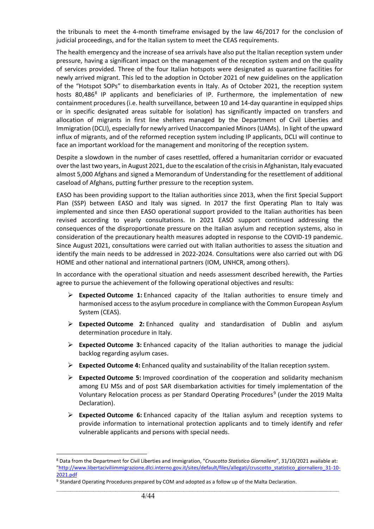the tribunals to meet the 4-month timeframe envisaged by the law 46/2017 for the conclusion of judicial proceedings, and for the Italian system to meet the CEAS requirements.

The health emergency and the increase of sea arrivals have also put the Italian reception system under pressure, having a significant impact on the management of the reception system and on the quality of services provided. Three of the four Italian hotspots were designated as quarantine facilities for newly arrived migrant. This led to the adoption in October 2021 of new guidelines on the application of the "Hotspot SOPs" to disembarkation events in Italy. As of October 2021, the reception system hosts  $80,486<sup>8</sup>$  $80,486<sup>8</sup>$  IP applicants and beneficiaries of IP. Furthermore, the implementation of new containment procedures (i.e. health surveillance, between 10 and 14-day quarantine in equipped ships or in specific designated areas suitable for isolation) has significantly impacted on transfers and allocation of migrants in first line shelters managed by the Department of Civil Liberties and Immigration (DCLI), especially for newly arrived Unaccompanied Minors (UAMs). In light of the upward influx of migrants, and of the reformed reception system including IP applicants, DCLI will continue to face an important workload for the management and monitoring of the reception system.

Despite a slowdown in the number of cases resettled, offered a humanitarian corridor or evacuated over the last two years, in August 2021, due to the escalation of the crisis in Afghanistan, Italy evacuated almost 5,000 Afghans and signed a Memorandum of Understanding for the resettlement of additional caseload of Afghans, putting further pressure to the reception system.

EASO has been providing support to the Italian authorities since 2013, when the first Special Support Plan (SSP) between EASO and Italy was signed. In 2017 the first Operating Plan to Italy was implemented and since then EASO operational support provided to the Italian authorities has been revised according to yearly consultations. In 2021 EASO support continued addressing the consequences of the disproportionate pressure on the Italian asylum and reception systems, also in consideration of the precautionary health measures adopted in response to the COVID-19 pandemic. Since August 2021, consultations were carried out with Italian authorities to assess the situation and identify the main needs to be addressed in 2022-2024. Consultations were also carried out with DG HOME and other national and international partners (IOM, UNHCR, among others).

In accordance with the operational situation and needs assessment described herewith, the Parties agree to pursue the achievement of the following operational objectives and results:

- **Expected Outcome 1:** Enhanced capacity of the Italian authorities to ensure timely and harmonised access to the asylum procedure in compliance with the Common European Asylum System (CEAS).
- **Expected Outcome 2:** Enhanced quality and standardisation of Dublin and asylum determination procedure in Italy.
- **Expected Outcome 3:** Enhanced capacity of the Italian authorities to manage the judicial backlog regarding asylum cases.
- **Expected Outcome 4:** Enhanced quality and sustainability of the Italian reception system.
- **Expected Outcome 5:** Improved coordination of the cooperation and solidarity mechanism among EU MSs and of post SAR disembarkation activities for timely implementation of the Voluntary Relocation process as per Standard Operating Procedures<sup>[9](#page-3-1)</sup> (under the 2019 Malta Declaration).
- **Expected Outcome 6:** Enhanced capacity of the Italian asylum and reception systems to provide information to international protection applicants and to timely identify and refer vulnerable applicants and persons with special needs.

<span id="page-3-0"></span><sup>8</sup> Data from the Department for Civil Liberties and Immigration, "*Cruscotto Statistico Giornaliero*", 31/10/2021 available at: "http://www.libertaciviliimmigrazione.dlci.interno.gov.it/sites/default/files/allegati/cruscotto\_statistico\_giornaliero\_31-10- 2021.pdf

<span id="page-3-1"></span><sup>9</sup> Standard Operating Procedures prepared by COM and adopted as a follow up of the Malta Declaration.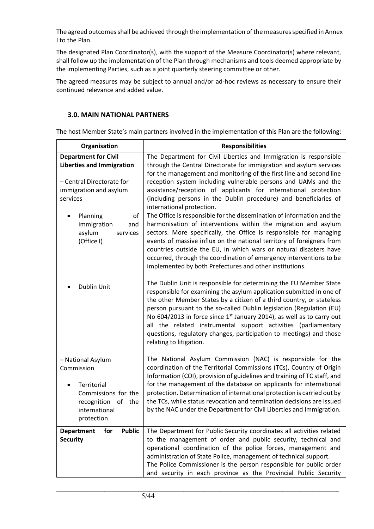The agreed outcomes shall be achieved through the implementation of the measures specified in Annex I to the Plan.

The designated Plan Coordinator(s), with the support of the Measure Coordinator(s) where relevant, shall follow up the implementation of the Plan through mechanisms and tools deemed appropriate by the implementing Parties, such as a joint quarterly steering committee or other.

The agreed measures may be subject to annual and/or ad-hoc reviews as necessary to ensure their continued relevance and added value.

# **3.0. MAIN NATIONAL PARTNERS**

The host Member State's main partners involved in the implementation of this Plan are the following:

| Organisation                                                                                                                                | <b>Responsibilities</b>                                                                                                                                                                                                                                                                                                                                                                                                                                                                                                                              |
|---------------------------------------------------------------------------------------------------------------------------------------------|------------------------------------------------------------------------------------------------------------------------------------------------------------------------------------------------------------------------------------------------------------------------------------------------------------------------------------------------------------------------------------------------------------------------------------------------------------------------------------------------------------------------------------------------------|
| <b>Department for Civil</b><br><b>Liberties and Immigration</b>                                                                             | The Department for Civil Liberties and Immigration is responsible<br>through the Central Directorate for immigration and asylum services<br>for the management and monitoring of the first line and second line                                                                                                                                                                                                                                                                                                                                      |
| - Central Directorate for<br>immigration and asylum<br>services                                                                             | reception system including vulnerable persons and UAMs and the<br>assistance/reception of applicants for international protection<br>(including persons in the Dublin procedure) and beneficiaries of<br>international protection.                                                                                                                                                                                                                                                                                                                   |
| Planning<br>of<br>immigration<br>and<br>asylum<br>services<br>(Office I)                                                                    | The Office is responsible for the dissemination of information and the<br>harmonisation of interventions within the migration and asylum<br>sectors. More specifically, the Office is responsible for managing<br>events of massive influx on the national territory of foreigners from<br>countries outside the EU, in which wars or natural disasters have<br>occurred, through the coordination of emergency interventions to be<br>implemented by both Prefectures and other institutions.                                                       |
| Dublin Unit                                                                                                                                 | The Dublin Unit is responsible for determining the EU Member State<br>responsible for examining the asylum application submitted in one of<br>the other Member States by a citizen of a third country, or stateless<br>person pursuant to the so-called Dublin legislation (Regulation (EU)<br>No 604/2013 in force since 1 <sup>st</sup> January 2014), as well as to carry out<br>all the related instrumental support activities (parliamentary<br>questions, regulatory changes, participation to meetings) and those<br>relating to litigation. |
| - National Asylum<br>Commission<br>Territorial<br>Commissions for the<br>recognition<br>$\mathsf{of}$<br>the<br>international<br>protection | The National Asylum Commission (NAC) is responsible for the<br>coordination of the Territorial Commissions (TCs), Country of Origin<br>Information (COI), provision of guidelines and training of TC staff, and<br>for the management of the database on applicants for international<br>protection. Determination of international protection is carried out by<br>the TCs, while status revocation and termination decisions are issued<br>by the NAC under the Department for Civil Liberties and Immigration.                                    |
| <b>Public</b><br>for<br><b>Department</b><br><b>Security</b>                                                                                | The Department for Public Security coordinates all activities related<br>to the management of order and public security, technical and<br>operational coordination of the police forces, management and<br>administration of State Police, management of technical support.<br>The Police Commissioner is the person responsible for public order<br>and security in each province as the Provincial Public Security                                                                                                                                 |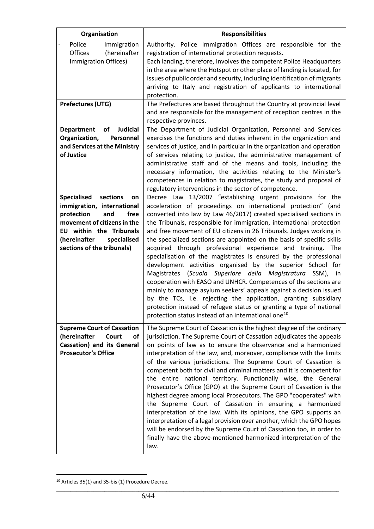| Organisation                                                                                                                                                                                                                  | <b>Responsibilities</b>                                                                                                                                                                                                                                                                                                                                                                                                                                                                                                                                                                                                                                                                                                                                                                                                                                                                                                                                                                                                                           |
|-------------------------------------------------------------------------------------------------------------------------------------------------------------------------------------------------------------------------------|---------------------------------------------------------------------------------------------------------------------------------------------------------------------------------------------------------------------------------------------------------------------------------------------------------------------------------------------------------------------------------------------------------------------------------------------------------------------------------------------------------------------------------------------------------------------------------------------------------------------------------------------------------------------------------------------------------------------------------------------------------------------------------------------------------------------------------------------------------------------------------------------------------------------------------------------------------------------------------------------------------------------------------------------------|
| Police<br>Immigration<br>Offices<br>(hereinafter<br>Immigration Offices)                                                                                                                                                      | Authority. Police Immigration Offices are responsible for the<br>registration of international protection requests.<br>Each landing, therefore, involves the competent Police Headquarters<br>in the area where the Hotspot or other place of landing is located, for<br>issues of public order and security, including identification of migrants<br>arriving to Italy and registration of applicants to international<br>protection.                                                                                                                                                                                                                                                                                                                                                                                                                                                                                                                                                                                                            |
| Prefectures (UTG)                                                                                                                                                                                                             | The Prefectures are based throughout the Country at provincial level<br>and are responsible for the management of reception centres in the<br>respective provinces.                                                                                                                                                                                                                                                                                                                                                                                                                                                                                                                                                                                                                                                                                                                                                                                                                                                                               |
| <b>Judicial</b><br>of<br><b>Department</b><br>Organization,<br>Personnel<br>and Services at the Ministry<br>of Justice                                                                                                        | The Department of Judicial Organization, Personnel and Services<br>exercises the functions and duties inherent in the organization and<br>services of justice, and in particular in the organization and operation<br>of services relating to justice, the administrative management of<br>administrative staff and of the means and tools, including the<br>necessary information, the activities relating to the Minister's<br>competences in relation to magistrates, the study and proposal of<br>regulatory interventions in the sector of competence.                                                                                                                                                                                                                                                                                                                                                                                                                                                                                       |
| <b>Specialised</b><br>sections<br>on<br>immigration, international<br>protection<br>and<br>free<br>movement of citizens in the<br><b>EU within the Tribunals</b><br>(hereinafter<br>specialised<br>sections of the tribunals) | Decree Law 13/2007 "establishing urgent provisions for the<br>acceleration of proceedings on international protection" (and<br>converted into law by Law 46/2017) created specialised sections in<br>the Tribunals, responsible for immigration, international protection<br>and free movement of EU citizens in 26 Tribunals. Judges working in<br>the specialized sections are appointed on the basis of specific skills<br>acquired through professional experience and training. The<br>specialisation of the magistrates is ensured by the professional<br>development activities organised by the superior School for<br>Magistrates (Scuola Superiore della Magistratura SSM), in<br>cooperation with EASO and UNHCR. Competences of the sections are<br>mainly to manage asylum seekers' appeals against a decision issued<br>by the TCs, i.e. rejecting the application, granting subsidiary<br>protection instead of refugee status or granting a type of national<br>protection status instead of an international one <sup>10</sup> . |
| <b>Supreme Court of Cassation</b><br>(hereinafter<br>Court<br>οf<br>Cassation) and its General<br><b>Prosecutor's Office</b>                                                                                                  | The Supreme Court of Cassation is the highest degree of the ordinary<br>jurisdiction. The Supreme Court of Cassation adjudicates the appeals<br>on points of law as to ensure the observance and a harmonized<br>interpretation of the law, and, moreover, compliance with the limits<br>of the various jurisdictions. The Supreme Court of Cassation is<br>competent both for civil and criminal matters and it is competent for<br>the entire national territory. Functionally wise, the General<br>Prosecutor's Office (GPO) at the Supreme Court of Cassation is the<br>highest degree among local Prosecutors. The GPO "cooperates" with<br>the Supreme Court of Cassation in ensuring a harmonized<br>interpretation of the law. With its opinions, the GPO supports an<br>interpretation of a legal provision over another, which the GPO hopes<br>will be endorsed by the Supreme Court of Cassation too, in order to<br>finally have the above-mentioned harmonized interpretation of the<br>law.                                        |

<span id="page-5-0"></span><sup>10</sup> Articles 35(1) and 35-bis (1) Procedure Decree.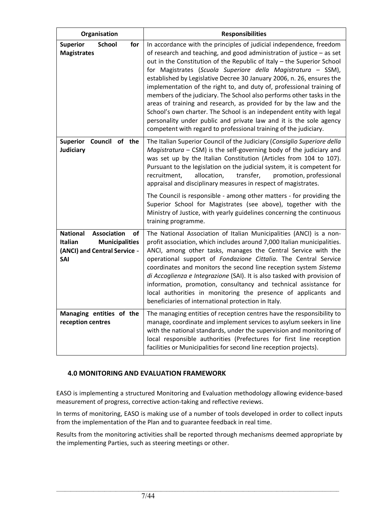| Organisation                                                                                                           | <b>Responsibilities</b>                                                                                                                                                                                                                                                                                                                                                                                                                                                                                                                                                                                                                                                                                                                                                                                   |
|------------------------------------------------------------------------------------------------------------------------|-----------------------------------------------------------------------------------------------------------------------------------------------------------------------------------------------------------------------------------------------------------------------------------------------------------------------------------------------------------------------------------------------------------------------------------------------------------------------------------------------------------------------------------------------------------------------------------------------------------------------------------------------------------------------------------------------------------------------------------------------------------------------------------------------------------|
| <b>School</b><br><b>Superior</b><br>for<br><b>Magistrates</b>                                                          | In accordance with the principles of judicial independence, freedom<br>of research and teaching, and good administration of justice - as set<br>out in the Constitution of the Republic of Italy - the Superior School<br>for Magistrates (Scuola Superiore della Magistratura - SSM),<br>established by Legislative Decree 30 January 2006, n. 26, ensures the<br>implementation of the right to, and duty of, professional training of<br>members of the judiciary. The School also performs other tasks in the<br>areas of training and research, as provided for by the law and the<br>School's own charter. The School is an independent entity with legal<br>personality under public and private law and it is the sole agency<br>competent with regard to professional training of the judiciary. |
| Council of the<br><b>Superior</b><br>Judiciary                                                                         | The Italian Superior Council of the Judiciary (Consiglio Superiore della<br>$Magistratura - CSM$ ) is the self-governing body of the judiciary and<br>was set up by the Italian Constitution (Articles from 104 to 107).<br>Pursuant to the legislation on the judicial system, it is competent for<br>recruitment,<br>allocation,<br>transfer,<br>promotion, professional<br>appraisal and disciplinary measures in respect of magistrates.<br>The Council is responsible - among other matters - for providing the<br>Superior School for Magistrates (see above), together with the<br>Ministry of Justice, with yearly guidelines concerning the continuous<br>training programme.                                                                                                                    |
| <b>National</b><br><b>Association</b><br>οf<br><b>Municipalities</b><br>Italian<br>(ANCI) and Central Service -<br>SAI | The National Association of Italian Municipalities (ANCI) is a non-<br>profit association, which includes around 7,000 Italian municipalities.<br>ANCI, among other tasks, manages the Central Service with the<br>operational support of Fondazione Cittalia. The Central Service<br>coordinates and monitors the second line reception system Sistema<br>di Accoglienza e Integrazione (SAI). It is also tasked with provision of<br>information, promotion, consultancy and technical assistance for<br>local authorities in monitoring the presence of applicants and<br>beneficiaries of international protection in Italy.                                                                                                                                                                          |
| Managing entities of the<br>reception centres                                                                          | The managing entities of reception centres have the responsibility to<br>manage, coordinate and implement services to asylum seekers in line<br>with the national standards, under the supervision and monitoring of<br>local responsible authorities (Prefectures for first line reception<br>facilities or Municipalities for second line reception projects).                                                                                                                                                                                                                                                                                                                                                                                                                                          |

# **4.0 MONITORING AND EVALUATION FRAMEWORK**

EASO is implementing a structured Monitoring and Evaluation methodology allowing evidence-based measurement of progress, corrective action-taking and reflective reviews.

In terms of monitoring, EASO is making use of a number of tools developed in order to collect inputs from the implementation of the Plan and to guarantee feedback in real time.

Results from the monitoring activities shall be reported through mechanisms deemed appropriate by the implementing Parties, such as steering meetings or other.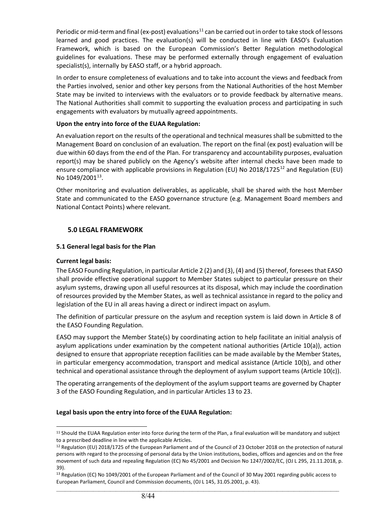Periodic or mid-term and final (ex-post) evaluations<sup>[11](#page-7-0)</sup> can be carried out in order to take stock of lessons learned and good practices. The evaluation(s) will be conducted in line with EASO's Evaluation Framework, which is based on the European Commission's Better Regulation methodological guidelines for evaluations. These may be performed externally through engagement of evaluation specialist(s), internally by EASO staff, or a hybrid approach.

In order to ensure completeness of evaluations and to take into account the views and feedback from the Parties involved, senior and other key persons from the National Authorities of the host Member State may be invited to interviews with the evaluators or to provide feedback by alternative means. The National Authorities shall commit to supporting the evaluation process and participating in such engagements with evaluators by mutually agreed appointments.

#### **Upon the entry into force of the EUAA Regulation:**

An evaluation report on the results of the operational and technical measures shall be submitted to the Management Board on conclusion of an evaluation. The report on the final (ex post) evaluation will be due within 60 days from the end of the Plan. For transparency and accountability purposes, evaluation report(s) may be shared publicly on the Agency's website after internal checks have been made to ensure compliance with applicable provisions in Regulation (EU) No 2018/1725<sup>[12](#page-7-1)</sup> and Regulation (EU) No  $1049/2001^{13}$ .

Other monitoring and evaluation deliverables, as applicable, shall be shared with the host Member State and communicated to the EASO governance structure (e.g. Management Board members and National Contact Points) where relevant.

# **5.0 LEGAL FRAMEWORK**

# **5.1 General legal basis for the Plan**

#### **Current legal basis:**

The EASO Founding Regulation, in particular Article 2 (2) and (3), (4) and (5) thereof, foresees that EASO shall provide effective operational support to Member States subject to particular pressure on their asylum systems, drawing upon all useful resources at its disposal, which may include the coordination of resources provided by the Member States, as well as technical assistance in regard to the policy and legislation of the EU in all areas having a direct or indirect impact on asylum.

The definition of particular pressure on the asylum and reception system is laid down in Article 8 of the EASO Founding Regulation.

EASO may support the Member State(s) by coordinating action to help facilitate an initial analysis of asylum applications under examination by the competent national authorities (Article 10(a)), action designed to ensure that appropriate reception facilities can be made available by the Member States, in particular emergency accommodation, transport and medical assistance (Article 10(b), and other technical and operational assistance through the deployment of asylum support teams (Article 10(c)).

The operating arrangements of the deployment of the asylum support teams are governed by Chapter 3 of the EASO Founding Regulation, and in particular Articles 13 to 23.

#### **Legal basis upon the entry into force of the EUAA Regulation:**

<span id="page-7-0"></span><sup>11</sup> Should the EUAA Regulation enter into force during the term of the Plan, a final evaluation will be mandatory and subject to a prescribed deadline in line with the applicable Articles.

<span id="page-7-1"></span><sup>12</sup> Regulation (EU) 2018/1725 of the European Parliament and of the Council of 23 October 2018 on the protection of natural persons with regard to the processing of personal data by the Union institutions, bodies, offices and agencies and on the free movement of such data and repealing Regulation (EC) No 45/2001 and Decision No 1247/2002/EC, (OJ L 295, 21.11.2018, p. 39).

<span id="page-7-2"></span> $\_$  ,  $\_$  ,  $\_$  ,  $\_$  ,  $\_$  ,  $\_$  ,  $\_$  ,  $\_$  ,  $\_$  ,  $\_$  ,  $\_$  ,  $\_$  ,  $\_$  ,  $\_$  ,  $\_$  ,  $\_$  ,  $\_$  ,  $\_$  ,  $\_$  ,  $\_$  ,  $\_$  ,  $\_$  ,  $\_$  ,  $\_$  ,  $\_$  ,  $\_$  ,  $\_$  ,  $\_$  ,  $\_$  ,  $\_$  ,  $\_$  ,  $\_$  ,  $\_$  ,  $\_$  ,  $\_$  ,  $\_$  ,  $\_$  , <sup>13</sup> Regulation (EC) No 1049/2001 of the European Parliament and of the Council of 30 May 2001 regarding public access to European Parliament, Council and Commission documents, (OJ L 145, 31.05.2001, p. 43).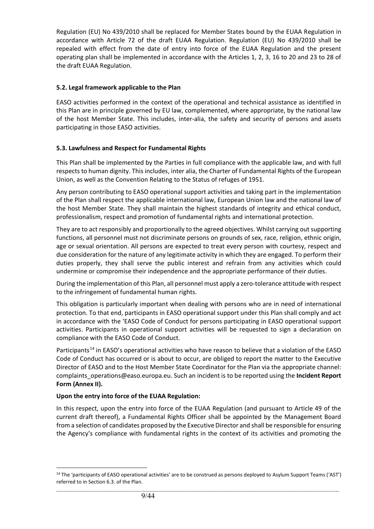Regulation (EU) No 439/2010 shall be replaced for Member States bound by the EUAA Regulation in accordance with Article 72 of the draft EUAA Regulation. Regulation (EU) No 439/2010 shall be repealed with effect from the date of entry into force of the EUAA Regulation and the present operating plan shall be implemented in accordance with the Articles 1, 2, 3, 16 to 20 and 23 to 28 of the draft EUAA Regulation.

# **5.2. Legal framework applicable to the Plan**

EASO activities performed in the context of the operational and technical assistance as identified in this Plan are in principle governed by EU law, complemented, where appropriate, by the national law of the host Member State. This includes, inter-alia, the safety and security of persons and assets participating in those EASO activities.

# **5.3. Lawfulness and Respect for Fundamental Rights**

This Plan shall be implemented by the Parties in full compliance with the applicable law, and with full respects to human dignity. This includes, inter alia, the Charter of Fundamental Rights of the European Union, as well as the Convention Relating to the Status of refuges of 1951.

Any person contributing to EASO operational support activities and taking part in the implementation of the Plan shall respect the applicable international law, European Union law and the national law of the host Member State. They shall maintain the highest standards of integrity and ethical conduct, professionalism, respect and promotion of fundamental rights and international protection.

They are to act responsibly and proportionally to the agreed objectives. Whilst carrying out supporting functions, all personnel must not discriminate persons on grounds of sex, race, religion, ethnic origin, age or sexual orientation. All persons are expected to treat every person with courtesy, respect and due consideration for the nature of any legitimate activity in which they are engaged. To perform their duties properly, they shall serve the public interest and refrain from any activities which could undermine or compromise their independence and the appropriate performance of their duties.

During the implementation of this Plan, all personnel must apply a zero-tolerance attitude with respect to the infringement of fundamental human rights.

This obligation is particularly important when dealing with persons who are in need of international protection. To that end, participants in EASO operational support under this Plan shall comply and act in accordance with the 'EASO Code of Conduct for persons participating in EASO operational support activities. Participants in operational support activities will be requested to sign a declaration on compliance with the EASO Code of Conduct.

Participants<sup>[14](#page-8-0)</sup> in EASO's operational activities who have reason to believe that a violation of the EASO Code of Conduct has occurred or is about to occur, are obliged to report the matter to the Executive Director of EASO and to the Host Member State Coordinator for the Plan via the appropriate channel: complaints\_operations@easo.europa.eu. Such an incident is to be reported using the **Incident Report Form (Annex II).**

#### **Upon the entry into force of the EUAA Regulation:**

In this respect, upon the entry into force of the EUAA Regulation (and pursuant to Article 49 of the current draft thereof), a Fundamental Rights Officer shall be appointed by the Management Board from a selection of candidates proposed by the Executive Director and shall be responsible for ensuring the Agency's compliance with fundamental rights in the context of its activities and promoting the

<span id="page-8-0"></span> $\_$  ,  $\_$  ,  $\_$  ,  $\_$  ,  $\_$  ,  $\_$  ,  $\_$  ,  $\_$  ,  $\_$  ,  $\_$  ,  $\_$  ,  $\_$  ,  $\_$  ,  $\_$  ,  $\_$  ,  $\_$  ,  $\_$  ,  $\_$  ,  $\_$  ,  $\_$  ,  $\_$  ,  $\_$  ,  $\_$  ,  $\_$  ,  $\_$  ,  $\_$  ,  $\_$  ,  $\_$  ,  $\_$  ,  $\_$  ,  $\_$  ,  $\_$  ,  $\_$  ,  $\_$  ,  $\_$  ,  $\_$  ,  $\_$  , <sup>14</sup> The 'participants of EASO operational activities' are to be construed as persons deployed to Asylum Support Teams ('AST') referred to in Section 6.3. of the Plan.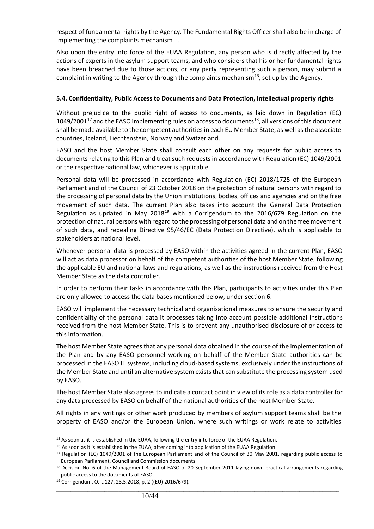respect of fundamental rights by the Agency. The Fundamental Rights Officer shall also be in charge of implementing the complaints mechanism $^{15}$ .

Also upon the entry into force of the EUAA Regulation, any person who is directly affected by the actions of experts in the asylum support teams, and who considers that his or her fundamental rights have been breached due to those actions, or any party representing such a person, may submit a complaint in writing to the Agency through the complaints mechanism<sup>[16](#page-9-1)</sup>, set up by the Agency.

#### **5.4. Confidentiality, Public Access to Documents and Data Protection, Intellectual property rights**

Without prejudice to the public right of access to documents, as laid down in Regulation (EC) 1049/2001<sup>[17](#page-9-2)</sup> and the EASO implementing rules on access to documents<sup>[18](#page-9-3)</sup>, all versions of this document shall be made available to the competent authorities in each EU Member State, as well as the associate countries, Iceland, Liechtenstein, Norway and Switzerland.

EASO and the host Member State shall consult each other on any requests for public access to documents relating to this Plan and treat such requests in accordance with Regulation (EC) 1049/2001 or the respective national law, whichever is applicable.

Personal data will be processed in accordance with Regulation (EC) 2018/1725 of the European Parliament and of the Council of 23 October 2018 on the protection of natural persons with regard to the processing of personal data by the Union institutions, bodies, offices and agencies and on the free movement of such data. The current Plan also takes into account the General Data Protection Regulation as updated in May 2018<sup>[19](#page-9-4)</sup> with a Corrigendum to the 2016/679 Regulation on the protection of natural persons with regard to the processing of personal data and on the free movement of such data, and repealing Directive 95/46/EC (Data Protection Directive), which is applicable to stakeholders at national level.

Whenever personal data is processed by EASO within the activities agreed in the current Plan, EASO will act as data processor on behalf of the competent authorities of the host Member State, following the applicable EU and national laws and regulations, as well as the instructions received from the Host Member State as the data controller.

In order to perform their tasks in accordance with this Plan, participants to activities under this Plan are only allowed to access the data bases mentioned below, under section 6.

EASO will implement the necessary technical and organisational measures to ensure the security and confidentiality of the personal data it processes taking into account possible additional instructions received from the host Member State. This is to prevent any unauthorised disclosure of or access to this information.

The host Member State agrees that any personal data obtained in the course of the implementation of the Plan and by any EASO personnel working on behalf of the Member State authorities can be processed in the EASO IT systems, including cloud-based systems, exclusively under the instructions of the Member State and until an alternative system exists that can substitute the processing system used by EASO.

The host Member State also agrees to indicate a contact point in view of its role as a data controller for any data processed by EASO on behalf of the national authorities of the host Member State.

All rights in any writings or other work produced by members of asylum support teams shall be the property of EASO and/or the European Union, where such writings or work relate to activities

<span id="page-9-0"></span><sup>&</sup>lt;sup>15</sup> As soon as it is established in the EUAA, following the entry into force of the EUAA Regulation.

<span id="page-9-1"></span><sup>&</sup>lt;sup>16</sup> As soon as it is established in the EUAA, after coming into application of the EUAA Regulation.

<span id="page-9-2"></span><sup>&</sup>lt;sup>17</sup> Regulation (EC) 1049/2001 of the European Parliament and of the Council of 30 May 2001, regarding public access to European Parliament, Council and Commission documents.

<span id="page-9-3"></span><sup>&</sup>lt;sup>18</sup> Decision No. 6 of the Management Board of EASO of 20 September 2011 laying down practical arrangements regarding public access to the documents of EASO.

<span id="page-9-4"></span><sup>19</sup> Corrigendum, OJ L 127, 23.5.2018, p. 2 ((EU) 2016/679).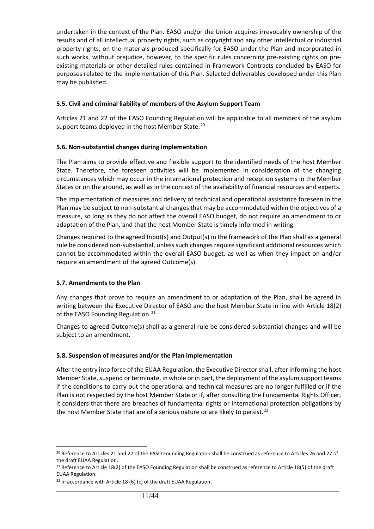undertaken in the context of the Plan. EASO and/or the Union acquires irrevocably ownership of the results and of all intellectual property rights, such as copyright and any other intellectual or industrial property rights, on the materials produced specifically for EASO under the Plan and incorporated in such works, without prejudice, however, to the specific rules concerning pre-existing rights on preexisting materials or other detailed rules contained in Framework Contracts concluded by EASO for purposes related to the implementation of this Plan. Selected deliverables developed under this Plan may be published.

#### **5.5. Civil and criminal liability of members of the Asylum Support Team**

Articles 21 and 22 of the EASO Founding Regulation will be applicable to all members of the asylum support teams deployed in the host Member State.<sup>[20](#page-10-0)</sup>

# **5.6. Non-substantial changes during implementation**

The Plan aims to provide effective and flexible support to the identified needs of the host Member State. Therefore, the foreseen activities will be implemented in consideration of the changing circumstances which may occur in the international protection and reception systems in the Member States or on the ground, as well as in the context of the availability of financial resources and experts.

The implementation of measures and delivery of technical and operational assistance foreseen in the Plan may be subject to non-substantial changes that may be accommodated within the objectives of a measure, so long as they do not affect the overall EASO budget, do not require an amendment to or adaptation of the Plan, and that the host Member State is timely informed in writing.

Changes required to the agreed Input(s) and Output(s) in the framework of the Plan shall as a general rule be considered non-substantial, unless such changes require significant additional resources which cannot be accommodated within the overall EASO budget, as well as when they impact on and/or require an amendment of the agreed Outcome(s).

#### **5.7. Amendments to the Plan**

Any changes that prove to require an amendment to or adaptation of the Plan, shall be agreed in writing between the Executive Director of EASO and the host Member State in line with Article 18(2) of the EASO Founding Regulation.<sup>[21](#page-10-1)</sup>

Changes to agreed Outcome(s) shall as a general rule be considered substantial changes and will be subject to an amendment.

#### **5.8. Suspension of measures and/or the Plan implementation**

After the entry into force of the EUAA Regulation, the Executive Director shall, after informing the host Member State, suspend or terminate, in whole or in part, the deployment of the asylum support teams if the conditions to carry out the operational and technical measures are no longer fulfilled or if the Plan is not respected by the host Member State or if, after consulting the Fundamental Rights Officer, it considers that there are breaches of fundamental rights or international protection obligations by the host Member State that are of a serious nature or are likely to persist.<sup>[22](#page-10-2)</sup>

<span id="page-10-0"></span><sup>&</sup>lt;sup>20</sup> Reference to Articles 21 and 22 of the EASO Founding Regulation shall be construed as reference to Articles 26 and 27 of the draft EUAA Regulation.

<span id="page-10-1"></span><sup>&</sup>lt;sup>21</sup> Reference to Article 18(2) of the EASO Founding Regulation shall be construed as reference to Article 18(5) of the draft EUAA Regulation.

<span id="page-10-2"></span> $22$  In accordance with Article 18 (6) (c) of the draft EUAA Regulation.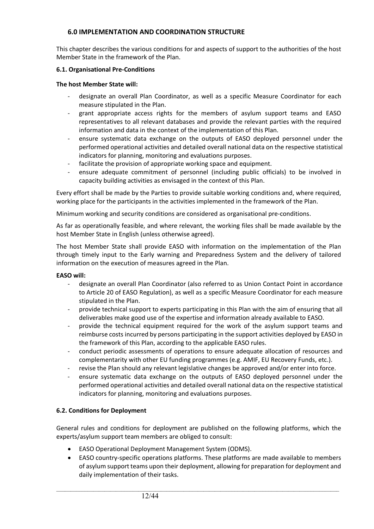# **6.0 IMPLEMENTATION AND COORDINATION STRUCTURE**

This chapter describes the various conditions for and aspects of support to the authorities of the host Member State in the framework of the Plan.

#### **6.1. Organisational Pre-Conditions**

#### **The host Member State will:**

- designate an overall Plan Coordinator, as well as a specific Measure Coordinator for each measure stipulated in the Plan.
- grant appropriate access rights for the members of asylum support teams and EASO representatives to all relevant databases and provide the relevant parties with the required information and data in the context of the implementation of this Plan.
- ensure systematic data exchange on the outputs of EASO deployed personnel under the performed operational activities and detailed overall national data on the respective statistical indicators for planning, monitoring and evaluations purposes.
- facilitate the provision of appropriate working space and equipment.
- ensure adequate commitment of personnel (including public officials) to be involved in capacity building activities as envisaged in the context of this Plan.

Every effort shall be made by the Parties to provide suitable working conditions and, where required, working place for the participants in the activities implemented in the framework of the Plan.

Minimum working and security conditions are considered as organisational pre-conditions.

As far as operationally feasible, and where relevant, the working files shall be made available by the host Member State in English (unless otherwise agreed).

The host Member State shall provide EASO with information on the implementation of the Plan through timely input to the Early warning and Preparedness System and the delivery of tailored information on the execution of measures agreed in the Plan.

#### **EASO will:**

- designate an overall Plan Coordinator (also referred to as Union Contact Point in accordance to Article 20 of EASO Regulation), as well as a specific Measure Coordinator for each measure stipulated in the Plan.
- provide technical support to experts participating in this Plan with the aim of ensuring that all deliverables make good use of the expertise and information already available to EASO.
- provide the technical equipment required for the work of the asylum support teams and reimburse costs incurred by persons participating in the support activities deployed by EASO in the framework of this Plan, according to the applicable EASO rules.
- conduct periodic assessments of operations to ensure adequate allocation of resources and complementarity with other EU funding programmes (e.g. AMIF, EU Recovery Funds, etc.).
- revise the Plan should any relevant legislative changes be approved and/or enter into force.
- ensure systematic data exchange on the outputs of EASO deployed personnel under the performed operational activities and detailed overall national data on the respective statistical indicators for planning, monitoring and evaluations purposes.

#### **6.2. Conditions for Deployment**

General rules and conditions for deployment are published on the following platforms, which the experts/asylum support team members are obliged to consult:

- EASO Operational Deployment Management System (ODMS).
- EASO country-specific operations platforms. These platforms are made available to members of asylum support teams upon their deployment, allowing for preparation for deployment and daily implementation of their tasks.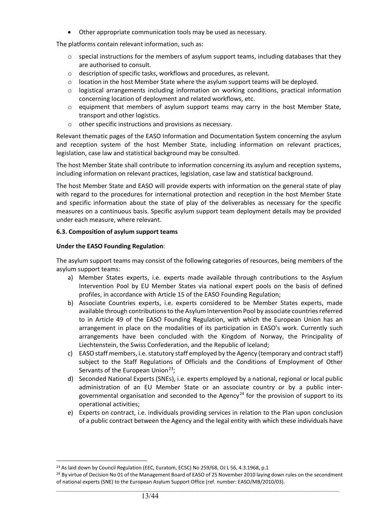• Other appropriate communication tools may be used as necessary.

The platforms contain relevant information, such as:

- $\circ$  special instructions for the members of asylum support teams, including databases that they are authorised to consult.
- o description of specific tasks, workflows and procedures, as relevant.
- $\circ$  location in the host Member State where the asylum support teams will be deployed.
- $\circ$  logistical arrangements including information on working conditions, practical information concerning location of deployment and related workflows, etc.
- $\circ$  equipment that members of asylum support teams may carry in the host Member State, transport and other logistics.
- o other specific instructions and provisions as necessary.

Relevant thematic pages of the EASO Information and Documentation System concerning the asylum and reception system of the host Member State, including information on relevant practices, legislation, case law and statistical background may be consulted.

The host Member State shall contribute to information concerning its asylum and reception systems, including information on relevant practices, legislation, case law and statistical background.

The host Member State and EASO will provide experts with information on the general state of play with regard to the procedures for international protection and reception in the host Member State and specific information about the state of play of the deliverables as necessary for the specific measures on a continuous basis. Specific asylum support team deployment details may be provided under each measure, where relevant.

# **6.3. Composition of asylum support teams**

# **Under the EASO Founding Regulation**:

The asylum support teams may consist of the following categories of resources, being members of the asylum support teams:

- a) Member States experts, i.e. experts made available through contributions to the Asylum Intervention Pool by EU Member States via national expert pools on the basis of defined profiles, in accordance with Article 15 of the EASO Founding Regulation;
- b) Associate Countries experts, i.e. experts considered to be Member States experts, made available through contributions to the Asylum Intervention Pool by associate countries referred to in Article 49 of the EASO Founding Regulation, with which the European Union has an arrangement in place on the modalities of its participation in EASO's work. Currently such arrangements have been concluded with the Kingdom of Norway, the Principality of Liechtenstein, the Swiss Confederation, and the Republic of Iceland;
- c) EASO staff members, i.e. statutory staff employed by the Agency (temporary and contract staff) subject to the Staff Regulations of Officials and the Conditions of Employment of Other Servants of the European Union<sup>[23](#page-12-0)</sup>;
- d) Seconded National Experts (SNEs), i.e. experts employed by a national, regional or local public administration of an EU Member State or an associate country or by a public inter-governmental organisation and seconded to the Agency<sup>[24](#page-12-1)</sup> for the provision of support to its operational activities;
- e) Experts on contract, i.e. individuals providing services in relation to the Plan upon conclusion of a public contract between the Agency and the legal entity with which these individuals have

<sup>&</sup>lt;sup>23</sup> As laid down by Council Regulation (EEC, Euratom, ECSC) No 259/68, OJ L 56, 4.3.1968, p.1

<span id="page-12-1"></span><span id="page-12-0"></span> $\_$  ,  $\_$  ,  $\_$  ,  $\_$  ,  $\_$  ,  $\_$  ,  $\_$  ,  $\_$  ,  $\_$  ,  $\_$  ,  $\_$  ,  $\_$  ,  $\_$  ,  $\_$  ,  $\_$  ,  $\_$  ,  $\_$  ,  $\_$  ,  $\_$  ,  $\_$  ,  $\_$  ,  $\_$  ,  $\_$  ,  $\_$  ,  $\_$  ,  $\_$  ,  $\_$  ,  $\_$  ,  $\_$  ,  $\_$  ,  $\_$  ,  $\_$  ,  $\_$  ,  $\_$  ,  $\_$  ,  $\_$  ,  $\_$  , <sup>24</sup> By virtue of Decision No 01 of the Management Board of EASO of 25 November 2010 laying down rules on the secondment of national experts (SNE) to the European Asylum Support Office (ref. number: EASO/MB/2010/03).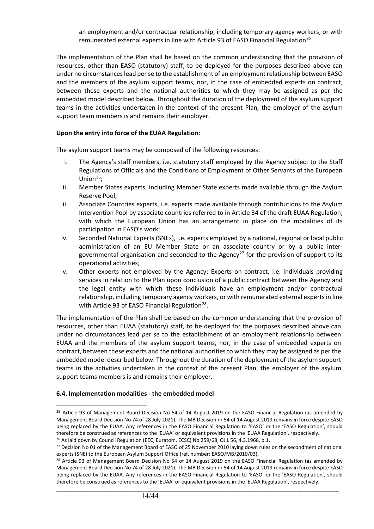an employment and/or contractual relationship, including temporary agency workers, or with remunerated external experts in line with Article 93 of EASO Financial Regulation<sup>[25](#page-13-0)</sup>.

The implementation of the Plan shall be based on the common understanding that the provision of resources, other than EASO (statutory) staff, to be deployed for the purposes described above can under no circumstances lead per se to the establishment of an employment relationship between EASO and the members of the asylum support teams, nor, in the case of embedded experts on contract, between these experts and the national authorities to which they may be assigned as per the embedded model described below. Throughout the duration of the deployment of the asylum support teams in the activities undertaken in the context of the present Plan, the employer of the asylum support team members is and remains their employer.

#### **Upon the entry into force of the EUAA Regulation**:

The asylum support teams may be composed of the following resources:

- i. The Agency's staff members, i.e. statutory staff employed by the Agency subject to the Staff Regulations of Officials and the Conditions of Employment of Other Servants of the European Union<sup>[26](#page-13-1)</sup>;
- ii. Member States experts, including Member State experts made available through the Asylum Reserve Pool;
- iii. Associate Countries experts, i.e. experts made available through contributions to the Asylum Intervention Pool by associate countries referred to in Article 34 of the draft EUAA Regulation, with which the European Union has an arrangement in place on the modalities of its participation in EASO's work;
- iv. Seconded National Experts (SNEs), i.e. experts employed by a national, regional or local public administration of an EU Member State or an associate country or by a public inter-governmental organisation and seconded to the Agency<sup>[27](#page-13-2)</sup> for the provision of support to its operational activities;
- v. Other experts not employed by the Agency: Experts on contract, i.e. individuals providing services in relation to the Plan upon conclusion of a public contract between the Agency and the legal entity with which these individuals have an employment and/or contractual relationship, including temporary agency workers, or with remunerated external experts in line with Article 93 of EASO Financial Regulation<sup>[28](#page-13-3)</sup>.

The implementation of the Plan shall be based on the common understanding that the provision of resources, other than EUAA (statutory) staff, to be deployed for the purposes described above can under no circumstances lead *per se* to the establishment of an employment relationship between EUAA and the members of the asylum support teams, nor, in the case of embedded experts on contract, between these experts and the national authorities to which they may be assigned as per the embedded model described below. Throughout the duration of the deployment of the asylum support teams in the activities undertaken in the context of the present Plan, the employer of the asylum support teams members is and remains their employer.

#### **6.4. Implementation modalities - the embedded model**

<span id="page-13-0"></span><sup>&</sup>lt;sup>25</sup> Article 93 of Management Board Decision No 54 of 14 August 2019 on the EASO Financial Regulation (as amended by Management Board Decision No 74 of 28 July 2021). The MB Decision nr 54 of 14 August 2019 remains in force despite EASO being replaced by the EUAA. Any references in the EASO Financial Regulation to 'EASO' or the 'EASO Regulation', should therefore be construed as references to the 'EUAA' or equivalent provisions in the 'EUAA Regulation', respectively. <sup>26</sup> As laid down by Council Regulation (EEC, Euratom, ECSC) No 259/68, OJ L 56, 4.3.1968, p.1.

<span id="page-13-2"></span><span id="page-13-1"></span><sup>&</sup>lt;sup>27</sup> Decision No 01 of the Management Board of EASO of 25 November 2010 laying down rules on the secondment of national experts (SNE) to the European Asylum Support Office (ref. number: EASO/MB/2010/03).

<span id="page-13-3"></span><sup>&</sup>lt;sup>28</sup> Article 93 of Management Board Decision No 54 of 14 August 2019 on the EASO Financial Regulation (as amended by Management Board Decision No 74 of 28 July 2021). The MB Decision nr 54 of 14 August 2019 remains in force despite EASO being replaced by the EUAA. Any references in the EASO Financial Regulation to 'EASO' or the 'EASO Regulation', should therefore be construed as references to the 'EUAA' or equivalent provisions in the 'EUAA Regulation', respectively.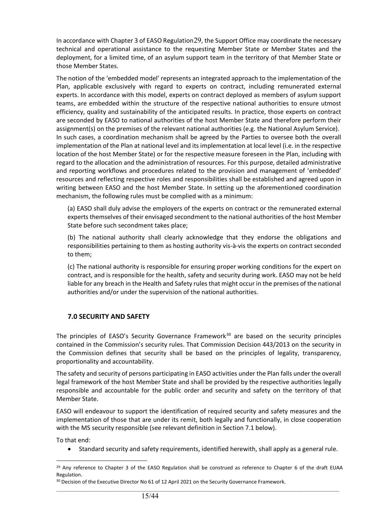In accordance with Chapter 3 of EASO Regulation[29](#page-14-0), the Support Office may coordinate the necessary technical and operational assistance to the requesting Member State or Member States and the deployment, for a limited time, of an asylum support team in the territory of that Member State or those Member States.

The notion of the 'embedded model' represents an integrated approach to the implementation of the Plan, applicable exclusively with regard to experts on contract, including remunerated external experts. In accordance with this model, experts on contract deployed as members of asylum support teams, are embedded within the structure of the respective national authorities to ensure utmost efficiency, quality and sustainability of the anticipated results. In practice, those experts on contract are seconded by EASO to national authorities of the host Member State and therefore perform their assignment(s) on the premises of the relevant national authorities (e.g. the National Asylum Service). In such cases, a coordination mechanism shall be agreed by the Parties to oversee both the overall implementation of the Plan at national level and its implementation at local level (i.e. in the respective location of the host Member State) or for the respective measure foreseen in the Plan, including with regard to the allocation and the administration of resources. For this purpose, detailed administrative and reporting workflows and procedures related to the provision and management of 'embedded' resources and reflecting respective roles and responsibilities shall be established and agreed upon in writing between EASO and the host Member State. In setting up the aforementioned coordination mechanism, the following rules must be complied with as a minimum:

(a) EASO shall duly advise the employers of the experts on contract or the remunerated external experts themselves of their envisaged secondment to the national authorities of the host Member State before such secondment takes place;

(b) The national authority shall clearly acknowledge that they endorse the obligations and responsibilities pertaining to them as hosting authority vis-à-vis the experts on contract seconded to them;

(c) The national authority is responsible for ensuring proper working conditions for the expert on contract, and is responsible for the health, safety and security during work. EASO may not be held liable for any breach in the Health and Safety rules that might occur in the premises of the national authorities and/or under the supervision of the national authorities.

# **7.0 SECURITY AND SAFETY**

The principles of EASO's Security Governance Framework $30$  are based on the security principles contained in the Commission's security rules. That Commission Decision 443/2013 on the security in the Commission defines that security shall be based on the principles of legality, transparency, proportionality and accountability.

The safety and security of persons participating in EASO activities under the Plan falls under the overall legal framework of the host Member State and shall be provided by the respective authorities legally responsible and accountable for the public order and security and safety on the territory of that Member State.

EASO will endeavour to support the identification of required security and safety measures and the implementation of those that are under its remit, both legally and functionally, in close cooperation with the MS security responsible (see relevant definition in Section 7.1 below).

To that end:

• Standard security and safety requirements, identified herewith, shall apply as a general rule.

<span id="page-14-0"></span> $29$  Any reference to Chapter 3 of the EASO Regulation shall be construed as reference to Chapter 6 of the draft EUAA Regulation.

<span id="page-14-1"></span><sup>&</sup>lt;sup>30</sup> Decision of the Executive Director No 61 of 12 April 2021 on the Security Governance Framework.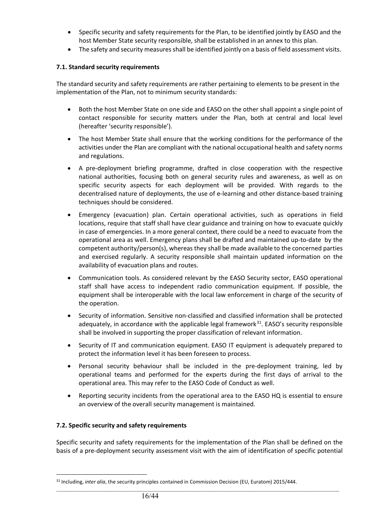- Specific security and safety requirements for the Plan, to be identified jointly by EASO and the host Member State security responsible, shall be established in an annex to this plan.
- The safety and security measures shall be identified jointly on a basis of field assessment visits.

# **7.1. Standard security requirements**

The standard security and safety requirements are rather pertaining to elements to be present in the implementation of the Plan, not to minimum security standards:

- Both the host Member State on one side and EASO on the other shall appoint a single point of contact responsible for security matters under the Plan, both at central and local level (hereafter 'security responsible').
- The host Member State shall ensure that the working conditions for the performance of the activities under the Plan are compliant with the national occupational health and safety norms and regulations.
- A pre-deployment briefing programme, drafted in close cooperation with the respective national authorities, focusing both on general security rules and awareness, as well as on specific security aspects for each deployment will be provided. With regards to the decentralised nature of deployments, the use of e-learning and other distance-based training techniques should be considered.
- Emergency (evacuation) plan. Certain operational activities, such as operations in field locations, require that staff shall have clear guidance and training on how to evacuate quickly in case of emergencies. In a more general context, there could be a need to evacuate from the operational area as well. Emergency plans shall be drafted and maintained up-to-date by the competent authority/person(s), whereas they shall be made available to the concerned parties and exercised regularly. A security responsible shall maintain updated information on the availability of evacuation plans and routes.
- Communication tools. As considered relevant by the EASO Security sector, EASO operational staff shall have access to independent radio communication equipment. If possible, the equipment shall be interoperable with the local law enforcement in charge of the security of the operation.
- Security of information. Sensitive non-classified and classified information shall be protected adequately, in accordance with the applicable legal framework $31$ . EASO's security responsible shall be involved in supporting the proper classification of relevant information.
- Security of IT and communication equipment. EASO IT equipment is adequately prepared to protect the information level it has been foreseen to process.
- Personal security behaviour shall be included in the pre-deployment training, led by operational teams and performed for the experts during the first days of arrival to the operational area. This may refer to the EASO Code of Conduct as well.
- Reporting security incidents from the operational area to the EASO HQ is essential to ensure an overview of the overall security management is maintained.

# **7.2. Specific security and safety requirements**

Specific security and safety requirements for the implementation of the Plan shall be defined on the basis of a pre-deployment security assessment visit with the aim of identification of specific potential

<span id="page-15-0"></span><sup>&</sup>lt;sup>31</sup> Including, *inter alia*, the security principles contained in Commission Decision (EU, Euratom) 2015/444.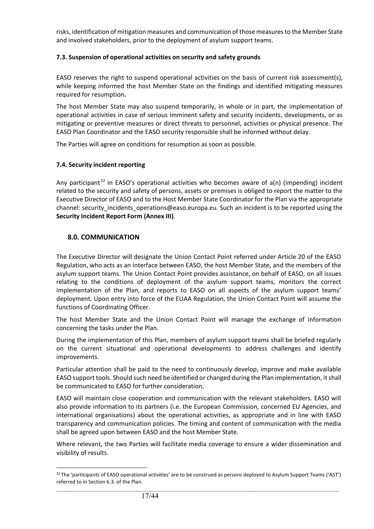risks, identification of mitigation measures and communication of those measures to the Member State and involved stakeholders, prior to the deployment of asylum support teams.

# **7.3. Suspension of operational activities on security and safety grounds**

EASO reserves the right to suspend operational activities on the basis of current risk assessment(s), while keeping informed the host Member State on the findings and identified mitigating measures required for resumption**.**

The host Member State may also suspend temporarily, in whole or in part, the implementation of operational activities in case of serious imminent safety and security incidents, developments, or as mitigating or preventive measures or direct threats to personnel, activities or physical presence. The EASO Plan Coordinator and the EASO security responsible shall be informed without delay.

The Parties will agree on conditions for resumption as soon as possible.

# **7.4. Security incident reporting**

Any participant<sup>[32](#page-16-0)</sup> in EASO's operational activities who becomes aware of  $a(n)$  (impending) incident related to the security and safety of persons, assets or premises is obliged to report the matter to the Executive Director of EASO and to the Host Member State Coordinator for the Plan via the appropriate channel: security incidents operations@easo.europa.eu. Such an incident is to be reported using the **Security Incident Report Form (Annex III)**.

# **8.0. COMMUNICATION**

The Executive Director will designate the Union Contact Point referred under Article 20 of the EASO Regulation, who acts as an interface between EASO, the host Member State, and the members of the asylum support teams. The Union Contact Point provides assistance, on behalf of EASO, on all issues relating to the conditions of deployment of the asylum support teams, monitors the correct implementation of the Plan, and reports to EASO on all aspects of the asylum support teams' deployment. Upon entry into force of the EUAA Regulation, the Union Contact Point will assume the functions of Coordinating Officer.

The host Member State and the Union Contact Point will manage the exchange of information concerning the tasks under the Plan.

During the implementation of this Plan, members of asylum support teams shall be briefed regularly on the current situational and operational developments to address challenges and identify improvements.

Particular attention shall be paid to the need to continuously develop, improve and make available EASO support tools. Should such need be identified or changed during the Plan implementation, it shall be communicated to EASO for further consideration.

EASO will maintain close cooperation and communication with the relevant stakeholders. EASO will also provide information to its partners (i.e. the European Commission, concerned EU Agencies, and international organisations) about the operational activities, as appropriate and in line with EASO transparency and communication policies. The timing and content of communication with the media shall be agreed upon between EASO and the host Member State.

Where relevant, the two Parties will facilitate media coverage to ensure a wider dissemination and visibility of results.

<span id="page-16-0"></span> $\_$  ,  $\_$  ,  $\_$  ,  $\_$  ,  $\_$  ,  $\_$  ,  $\_$  ,  $\_$  ,  $\_$  ,  $\_$  ,  $\_$  ,  $\_$  ,  $\_$  ,  $\_$  ,  $\_$  ,  $\_$  ,  $\_$  ,  $\_$  ,  $\_$  ,  $\_$  ,  $\_$  ,  $\_$  ,  $\_$  ,  $\_$  ,  $\_$  ,  $\_$  ,  $\_$  ,  $\_$  ,  $\_$  ,  $\_$  ,  $\_$  ,  $\_$  ,  $\_$  ,  $\_$  ,  $\_$  ,  $\_$  ,  $\_$  , 32 The 'participants of EASO operational activities' are to be construed as persons deployed to Asylum Support Teams ('AST') referred to in Section 6.3. of the Plan.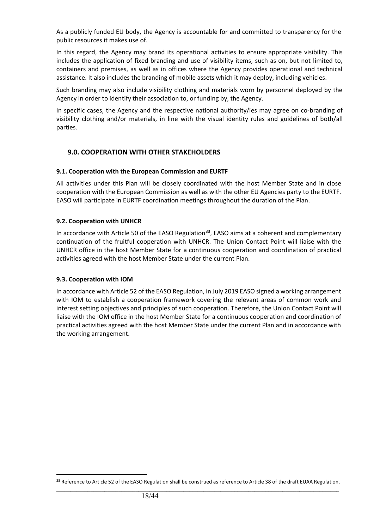As a publicly funded EU body, the Agency is accountable for and committed to transparency for the public resources it makes use of.

In this regard, the Agency may brand its operational activities to ensure appropriate visibility. This includes the application of fixed branding and use of visibility items, such as on, but not limited to, containers and premises, as well as in offices where the Agency provides operational and technical assistance. It also includes the branding of mobile assets which it may deploy, including vehicles.

Such branding may also include visibility clothing and materials worn by personnel deployed by the Agency in order to identify their association to, or funding by, the Agency.

In specific cases, the Agency and the respective national authority/ies may agree on co-branding of visibility clothing and/or materials, in line with the visual identity rules and guidelines of both/all parties.

# **9.0. COOPERATION WITH OTHER STAKEHOLDERS**

# **9.1. Cooperation with the European Commission and EURTF**

All activities under this Plan will be closely coordinated with the host Member State and in close cooperation with the European Commission as well as with the other EU Agencies party to the EURTF. EASO will participate in EURTF coordination meetings throughout the duration of the Plan.

# **9.2. Cooperation with UNHCR**

In accordance with Article 50 of the EASO Regulation<sup>33</sup>, EASO aims at a coherent and complementary continuation of the fruitful cooperation with UNHCR. The Union Contact Point will liaise with the UNHCR office in the host Member State for a continuous cooperation and coordination of practical activities agreed with the host Member State under the current Plan.

#### **9.3. Cooperation with IOM**

In accordance with Article 52 of the EASO Regulation, in July 2019 EASO signed a working arrangement with IOM to establish a cooperation framework covering the relevant areas of common work and interest setting objectives and principles of such cooperation. Therefore, the Union Contact Point will liaise with the IOM office in the host Member State for a continuous cooperation and coordination of practical activities agreed with the host Member State under the current Plan and in accordance with the working arrangement.

<span id="page-17-0"></span> $\_$  ,  $\_$  ,  $\_$  ,  $\_$  ,  $\_$  ,  $\_$  ,  $\_$  ,  $\_$  ,  $\_$  ,  $\_$  ,  $\_$  ,  $\_$  ,  $\_$  ,  $\_$  ,  $\_$  ,  $\_$  ,  $\_$  ,  $\_$  ,  $\_$  ,  $\_$  ,  $\_$  ,  $\_$  ,  $\_$  ,  $\_$  ,  $\_$  ,  $\_$  ,  $\_$  ,  $\_$  ,  $\_$  ,  $\_$  ,  $\_$  ,  $\_$  ,  $\_$  ,  $\_$  ,  $\_$  ,  $\_$  ,  $\_$  , <sup>33</sup> Reference to Article 52 of the EASO Regulation shall be construed as reference to Article 38 of the draft EUAA Regulation.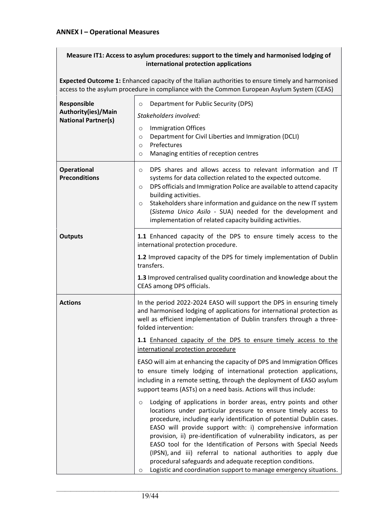# **ANNEX I – Operational Measures**

# **Measure IT1: Access to asylum procedures: support to the timely and harmonised lodging of international protection applications**

**Expected Outcome 1:** Enhanced capacity of the Italian authorities to ensure timely and harmonised access to the asylum procedure in compliance with the Common European Asylum System (CEAS)

| Responsible<br>Authority(ies)/Main<br><b>National Partner(s)</b><br><b>Operational</b><br><b>Preconditions</b> | Department for Public Security (DPS)<br>$\circ$<br>Stakeholders involved:<br><b>Immigration Offices</b><br>$\circ$<br>Department for Civil Liberties and Immigration (DCLI)<br>$\circ$<br>Prefectures<br>$\circ$<br>Managing entities of reception centres<br>$\circ$<br>DPS shares and allows access to relevant information and IT<br>O<br>systems for data collection related to the expected outcome.<br>DPS officials and Immigration Police are available to attend capacity<br>O<br>building activities.<br>Stakeholders share information and guidance on the new IT system<br>$\circ$<br>(Sistema Unico Asilo - SUA) needed for the development and<br>implementation of related capacity building activities.                                                                                                                                                                                                                                                                                                                                                                                                                                                                                                                                                                         |
|----------------------------------------------------------------------------------------------------------------|-------------------------------------------------------------------------------------------------------------------------------------------------------------------------------------------------------------------------------------------------------------------------------------------------------------------------------------------------------------------------------------------------------------------------------------------------------------------------------------------------------------------------------------------------------------------------------------------------------------------------------------------------------------------------------------------------------------------------------------------------------------------------------------------------------------------------------------------------------------------------------------------------------------------------------------------------------------------------------------------------------------------------------------------------------------------------------------------------------------------------------------------------------------------------------------------------------------------------------------------------------------------------------------------------|
| <b>Outputs</b>                                                                                                 | 1.1 Enhanced capacity of the DPS to ensure timely access to the<br>international protection procedure.<br>1.2 Improved capacity of the DPS for timely implementation of Dublin<br>transfers.<br>1.3 Improved centralised quality coordination and knowledge about the<br>CEAS among DPS officials.                                                                                                                                                                                                                                                                                                                                                                                                                                                                                                                                                                                                                                                                                                                                                                                                                                                                                                                                                                                              |
| <b>Actions</b>                                                                                                 | In the period 2022-2024 EASO will support the DPS in ensuring timely<br>and harmonised lodging of applications for international protection as<br>well as efficient implementation of Dublin transfers through a three-<br>folded intervention:<br>1.1 Enhanced capacity of the DPS to ensure timely access to the<br>international protection procedure<br>EASO will aim at enhancing the capacity of DPS and Immigration Offices<br>to ensure timely lodging of international protection applications,<br>including in a remote setting, through the deployment of EASO asylum<br>support teams (ASTs) on a need basis. Actions will thus include:<br>Lodging of applications in border areas, entry points and other<br>$\circ$<br>locations under particular pressure to ensure timely access to<br>procedure, including early identification of potential Dublin cases.<br>EASO will provide support with: i) comprehensive information<br>provision, ii) pre-identification of vulnerability indicators, as per<br>EASO tool for the Identification of Persons with Special Needs<br>(IPSN), and iii) referral to national authorities to apply due<br>procedural safeguards and adequate reception conditions.<br>Logistic and coordination support to manage emergency situations.<br>O |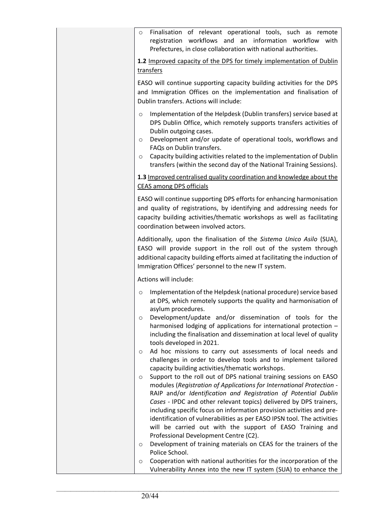| Finalisation of relevant operational tools, such as remote<br>$\circ$<br>registration workflows and an information workflow<br>with<br>Prefectures, in close collaboration with national authorities.                                                                                                                                                                                                                                                                                                                                                                                                                                   |
|-----------------------------------------------------------------------------------------------------------------------------------------------------------------------------------------------------------------------------------------------------------------------------------------------------------------------------------------------------------------------------------------------------------------------------------------------------------------------------------------------------------------------------------------------------------------------------------------------------------------------------------------|
| 1.2 Improved capacity of the DPS for timely implementation of Dublin<br>transfers                                                                                                                                                                                                                                                                                                                                                                                                                                                                                                                                                       |
|                                                                                                                                                                                                                                                                                                                                                                                                                                                                                                                                                                                                                                         |
| EASO will continue supporting capacity building activities for the DPS<br>and Immigration Offices on the implementation and finalisation of<br>Dublin transfers. Actions will include:                                                                                                                                                                                                                                                                                                                                                                                                                                                  |
| Implementation of the Helpdesk (Dublin transfers) service based at<br>$\circ$<br>DPS Dublin Office, which remotely supports transfers activities of<br>Dublin outgoing cases.<br>Development and/or update of operational tools, workflows and<br>$\circ$<br>FAQs on Dublin transfers.<br>Capacity building activities related to the implementation of Dublin<br>$\circ$<br>transfers (within the second day of the National Training Sessions).                                                                                                                                                                                       |
| 1.3 Improved centralised quality coordination and knowledge about the<br><b>CEAS among DPS officials</b>                                                                                                                                                                                                                                                                                                                                                                                                                                                                                                                                |
| EASO will continue supporting DPS efforts for enhancing harmonisation<br>and quality of registrations, by identifying and addressing needs for<br>capacity building activities/thematic workshops as well as facilitating<br>coordination between involved actors.                                                                                                                                                                                                                                                                                                                                                                      |
| Additionally, upon the finalisation of the Sistema Unico Asilo (SUA),<br>EASO will provide support in the roll out of the system through<br>additional capacity building efforts aimed at facilitating the induction of<br>Immigration Offices' personnel to the new IT system.                                                                                                                                                                                                                                                                                                                                                         |
| Actions will include:                                                                                                                                                                                                                                                                                                                                                                                                                                                                                                                                                                                                                   |
| Implementation of the Helpdesk (national procedure) service based<br>$\circ$<br>at DPS, which remotely supports the quality and harmonisation of<br>asylum procedures.<br>Development/update and/or dissemination of tools for the<br>O<br>harmonised lodging of applications for international protection -<br>including the finalisation and dissemination at local level of quality<br>tools developed in 2021.                                                                                                                                                                                                                      |
| Ad hoc missions to carry out assessments of local needs and<br>O<br>challenges in order to develop tools and to implement tailored<br>capacity building activities/thematic workshops.                                                                                                                                                                                                                                                                                                                                                                                                                                                  |
| Support to the roll out of DPS national training sessions on EASO<br>$\circ$<br>modules (Registration of Applications for International Protection -<br>RAIP and/or Identification and Registration of Potential Dublin<br>Cases - IPDC and other relevant topics) delivered by DPS trainers,<br>including specific focus on information provision activities and pre-<br>identification of vulnerabilities as per EASO IPSN tool. The activities<br>will be carried out with the support of EASO Training and<br>Professional Development Centre (C2).<br>Development of training materials on CEAS for the trainers of the<br>$\circ$ |
| Police School.                                                                                                                                                                                                                                                                                                                                                                                                                                                                                                                                                                                                                          |
| Cooperation with national authorities for the incorporation of the<br>$\circ$<br>Vulnerability Annex into the new IT system (SUA) to enhance the                                                                                                                                                                                                                                                                                                                                                                                                                                                                                        |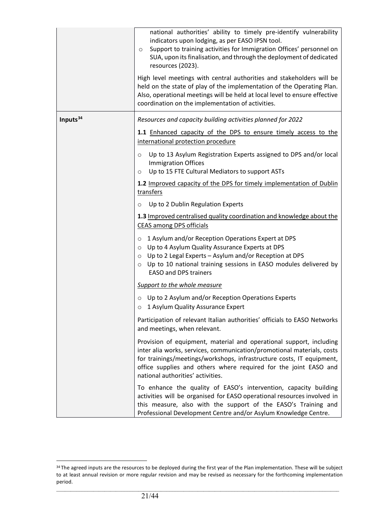|                      | national authorities' ability to timely pre-identify vulnerability<br>indicators upon lodging, as per EASO IPSN tool.<br>Support to training activities for Immigration Offices' personnel on<br>$\circ$<br>SUA, upon its finalisation, and through the deployment of dedicated<br>resources (2023).<br>High level meetings with central authorities and stakeholders will be<br>held on the state of play of the implementation of the Operating Plan.<br>Also, operational meetings will be held at local level to ensure effective<br>coordination on the implementation of activities.                                                                                                                                                                                                                                                                                                                                                                                                                                                                                                                                                                                                                                                                                                                                                                               |
|----------------------|--------------------------------------------------------------------------------------------------------------------------------------------------------------------------------------------------------------------------------------------------------------------------------------------------------------------------------------------------------------------------------------------------------------------------------------------------------------------------------------------------------------------------------------------------------------------------------------------------------------------------------------------------------------------------------------------------------------------------------------------------------------------------------------------------------------------------------------------------------------------------------------------------------------------------------------------------------------------------------------------------------------------------------------------------------------------------------------------------------------------------------------------------------------------------------------------------------------------------------------------------------------------------------------------------------------------------------------------------------------------------|
| Inputs <sup>34</sup> | Resources and capacity building activities planned for 2022<br>1.1 Enhanced capacity of the DPS to ensure timely access to the<br>international protection procedure<br>Up to 13 Asylum Registration Experts assigned to DPS and/or local<br>$\circ$<br><b>Immigration Offices</b><br>Up to 15 FTE Cultural Mediators to support ASTs<br>$\circ$<br>1.2 Improved capacity of the DPS for timely implementation of Dublin<br>transfers<br>Up to 2 Dublin Regulation Experts<br>O<br>1.3 Improved centralised quality coordination and knowledge about the<br><b>CEAS among DPS officials</b><br>1 Asylum and/or Reception Operations Expert at DPS<br>$\circ$<br>o Up to 4 Asylum Quality Assurance Experts at DPS<br>○ Up to 2 Legal Experts - Asylum and/or Reception at DPS<br>Up to 10 national training sessions in EASO modules delivered by<br>$\circ$<br><b>EASO and DPS trainers</b><br>Support to the whole measure<br>$\circ$ Up to 2 Asylum and/or Reception Operations Experts<br>o 1 Asylum Quality Assurance Expert<br>Participation of relevant Italian authorities' officials to EASO Networks<br>and meetings, when relevant.<br>Provision of equipment, material and operational support, including<br>inter alia works, services, communication/promotional materials, costs<br>for trainings/meetings/workshops, infrastructure costs, IT equipment, |
|                      | office supplies and others where required for the joint EASO and<br>national authorities' activities.<br>To enhance the quality of EASO's intervention, capacity building<br>activities will be organised for EASO operational resources involved in<br>this measure, also with the support of the EASO's Training and<br>Professional Development Centre and/or Asylum Knowledge Centre.                                                                                                                                                                                                                                                                                                                                                                                                                                                                                                                                                                                                                                                                                                                                                                                                                                                                                                                                                                                |

<span id="page-20-0"></span><sup>34</sup> The agreed inputs are the resources to be deployed during the first year of the Plan implementation. These will be subject to at least annual revision or more regular revision and may be revised as necessary for the forthcoming implementation period.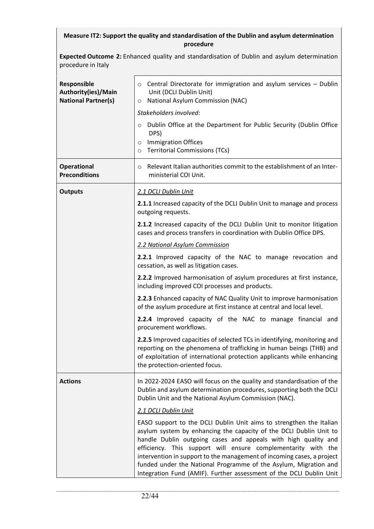# **Measure IT2: Support the quality and standardisation of the Dublin and asylum determination procedure**

**Expected Outcome 2:** Enhanced quality and standardisation of Dublin and asylum determination procedure in Italy

| Responsible<br>Authority(ies)/Main<br><b>National Partner(s)</b> | Central Directorate for immigration and asylum services - Dublin<br>$\circ$<br>Unit (DCLI Dublin Unit)<br>National Asylum Commission (NAC)<br>$\circ$                                                                                                                                                                                                                                                                                                                                             |
|------------------------------------------------------------------|---------------------------------------------------------------------------------------------------------------------------------------------------------------------------------------------------------------------------------------------------------------------------------------------------------------------------------------------------------------------------------------------------------------------------------------------------------------------------------------------------|
|                                                                  | Stakeholders involved:<br>Dublin Office at the Department for Public Security (Dublin Office<br>$\circ$<br>DPS)<br><b>Immigration Offices</b><br>$\circ$<br><b>Territorial Commissions (TCs)</b><br>$\circ$                                                                                                                                                                                                                                                                                       |
| <b>Operational</b><br><b>Preconditions</b>                       | Relevant Italian authorities commit to the establishment of an Inter-<br>$\circ$<br>ministerial COI Unit.                                                                                                                                                                                                                                                                                                                                                                                         |
| <b>Outputs</b>                                                   | 2.1 DCLI Dublin Unit                                                                                                                                                                                                                                                                                                                                                                                                                                                                              |
|                                                                  | 2.1.1 Increased capacity of the DCLI Dublin Unit to manage and process<br>outgoing requests.                                                                                                                                                                                                                                                                                                                                                                                                      |
|                                                                  | 2.1.2 Increased capacity of the DCLI Dublin Unit to monitor litigation<br>cases and process transfers in coordination with Dublin Office DPS.                                                                                                                                                                                                                                                                                                                                                     |
|                                                                  | 2.2 National Asylum Commission                                                                                                                                                                                                                                                                                                                                                                                                                                                                    |
|                                                                  | 2.2.1 Improved capacity of the NAC to manage revocation and<br>cessation, as well as litigation cases.                                                                                                                                                                                                                                                                                                                                                                                            |
|                                                                  | 2.2.2 Improved harmonisation of asylum procedures at first instance,<br>including improved COI processes and products.                                                                                                                                                                                                                                                                                                                                                                            |
|                                                                  | 2.2.3 Enhanced capacity of NAC Quality Unit to improve harmonisation<br>of the asylum procedure at first instance at central and local level.                                                                                                                                                                                                                                                                                                                                                     |
|                                                                  | 2.2.4 Improved capacity of the NAC to manage financial and<br>procurement workflows.                                                                                                                                                                                                                                                                                                                                                                                                              |
|                                                                  | 2.2.5 Improved capacities of selected TCs in identifying, monitoring and<br>reporting on the phenomena of trafficking in human beings (THB) and<br>of exploitation of international protection applicants while enhancing<br>the protection-oriented focus.                                                                                                                                                                                                                                       |
| <b>Actions</b>                                                   | In 2022-2024 EASO will focus on the quality and standardisation of the<br>Dublin and asylum determination procedures, supporting both the DCLI<br>Dublin Unit and the National Asylum Commission (NAC).                                                                                                                                                                                                                                                                                           |
|                                                                  | 2.1 DCLI Dublin Unit                                                                                                                                                                                                                                                                                                                                                                                                                                                                              |
|                                                                  | EASO support to the DCLI Dublin Unit aims to strengthen the Italian<br>asylum system by enhancing the capacity of the DCLI Dublin Unit to<br>handle Dublin outgoing cases and appeals with high quality and<br>efficiency. This support will ensure complementarity with the<br>intervention in support to the management of incoming cases, a project<br>funded under the National Programme of the Asylum, Migration and<br>Integration Fund (AMIF). Further assessment of the DCLI Dublin Unit |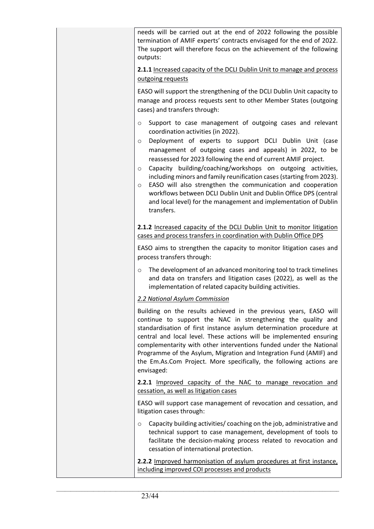needs will be carried out at the end of 2022 following the possible termination of AMIF experts' contracts envisaged for the end of 2022. The support will therefore focus on the achievement of the following outputs:

**2.1.1** Increased capacity of the DCLI Dublin Unit to manage and process outgoing requests

EASO will support the strengthening of the DCLI Dublin Unit capacity to manage and process requests sent to other Member States (outgoing cases) and transfers through:

- o Support to case management of outgoing cases and relevant coordination activities (in 2022).
- o Deployment of experts to support DCLI Dublin Unit (case management of outgoing cases and appeals) in 2022, to be reassessed for 2023 following the end of current AMIF project.
- o Capacity building/coaching/workshops on outgoing activities, including minors and family reunification cases (starting from 2023).
- $\circ$  EASO will also strengthen the communication and cooperation workflows between DCLI Dublin Unit and Dublin Office DPS (central and local level) for the management and implementation of Dublin transfers.

**2.1.2** Increased capacity of the DCLI Dublin Unit to monitor litigation cases and process transfers in coordination with Dublin Office DPS

EASO aims to strengthen the capacity to monitor litigation cases and process transfers through:

o The development of an advanced monitoring tool to track timelines and data on transfers and litigation cases (2022), as well as the implementation of related capacity building activities.

# *2.2 National Asylum Commission*

Building on the results achieved in the previous years, EASO will continue to support the NAC in strengthening the quality and standardisation of first instance asylum determination procedure at central and local level. These actions will be implemented ensuring complementarity with other interventions funded under the National Programme of the Asylum, Migration and Integration Fund (AMIF) and the Em.As.Com Project. More specifically, the following actions are envisaged:

**2.2.1** Improved capacity of the NAC to manage revocation and cessation, as well as litigation cases

EASO will support case management of revocation and cessation, and litigation cases through:

o Capacity building activities/ coaching on the job, administrative and technical support to case management, development of tools to facilitate the decision-making process related to revocation and cessation of international protection.

**2.2.2** Improved harmonisation of asylum procedures at first instance, including improved COI processes and products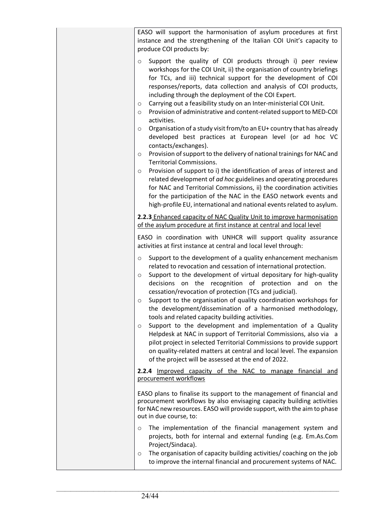| EASO will support the harmonisation of asylum procedures at first<br>instance and the strengthening of the Italian COI Unit's capacity to<br>produce COI products by:                                                                                                                                                                                                                                                                                                                                                                                                                                                                                                                                                                                                                                                                                                                                                                                                                                                                                                                                                                                                                                |
|------------------------------------------------------------------------------------------------------------------------------------------------------------------------------------------------------------------------------------------------------------------------------------------------------------------------------------------------------------------------------------------------------------------------------------------------------------------------------------------------------------------------------------------------------------------------------------------------------------------------------------------------------------------------------------------------------------------------------------------------------------------------------------------------------------------------------------------------------------------------------------------------------------------------------------------------------------------------------------------------------------------------------------------------------------------------------------------------------------------------------------------------------------------------------------------------------|
| Support the quality of COI products through i) peer review<br>$\circ$<br>workshops for the COI Unit, ii) the organisation of country briefings<br>for TCs, and iii) technical support for the development of COI<br>responses/reports, data collection and analysis of COI products,<br>including through the deployment of the COI Expert.<br>Carrying out a feasibility study on an Inter-ministerial COI Unit.<br>$\circ$<br>Provision of administrative and content-related support to MED-COI<br>O<br>activities.<br>Organisation of a study visit from/to an EU+ country that has already<br>$\circ$<br>developed best practices at European level (or ad hoc VC<br>contacts/exchanges).<br>Provision of support to the delivery of national trainings for NAC and<br>$\circ$<br><b>Territorial Commissions.</b><br>Provision of support to i) the identification of areas of interest and<br>$\circ$<br>related development of ad hoc guidelines and operating procedures<br>for NAC and Territorial Commissions, ii) the coordination activities<br>for the participation of the NAC in the EASO network events and<br>high-profile EU, international and national events related to asylum. |
| 2.2.3 Enhanced capacity of NAC Quality Unit to improve harmonisation<br>of the asylum procedure at first instance at central and local level                                                                                                                                                                                                                                                                                                                                                                                                                                                                                                                                                                                                                                                                                                                                                                                                                                                                                                                                                                                                                                                         |
| EASO in coordination with UNHCR will support quality assurance<br>activities at first instance at central and local level through:                                                                                                                                                                                                                                                                                                                                                                                                                                                                                                                                                                                                                                                                                                                                                                                                                                                                                                                                                                                                                                                                   |
| Support to the development of a quality enhancement mechanism<br>$\circ$<br>related to revocation and cessation of international protection.<br>Support to the development of virtual depositary for high-quality<br>O<br>decisions on the recognition of protection and on the<br>cessation/revocation of protection (TCs and judicial).<br>Support to the organisation of quality coordination workshops for<br>O<br>the development/dissemination of a harmonised methodology,<br>tools and related capacity building activities.<br>Support to the development and implementation of a Quality<br>O<br>Helpdesk at NAC in support of Territorial Commissions, also via a<br>pilot project in selected Territorial Commissions to provide support<br>on quality-related matters at central and local level. The expansion<br>of the project will be assessed at the end of 2022.                                                                                                                                                                                                                                                                                                                  |
| 2.2.4 Improved capacity of the NAC to manage financial and<br>procurement workflows                                                                                                                                                                                                                                                                                                                                                                                                                                                                                                                                                                                                                                                                                                                                                                                                                                                                                                                                                                                                                                                                                                                  |
| EASO plans to finalise its support to the management of financial and<br>procurement workflows by also envisaging capacity building activities<br>for NAC new resources. EASO will provide support, with the aim to phase<br>out in due course, to:                                                                                                                                                                                                                                                                                                                                                                                                                                                                                                                                                                                                                                                                                                                                                                                                                                                                                                                                                  |
| The implementation of the financial management system and<br>$\circ$<br>projects, both for internal and external funding (e.g. Em.As.Com<br>Project/Sindaca).<br>The organisation of capacity building activities/ coaching on the job<br>O<br>to improve the internal financial and procurement systems of NAC.                                                                                                                                                                                                                                                                                                                                                                                                                                                                                                                                                                                                                                                                                                                                                                                                                                                                                     |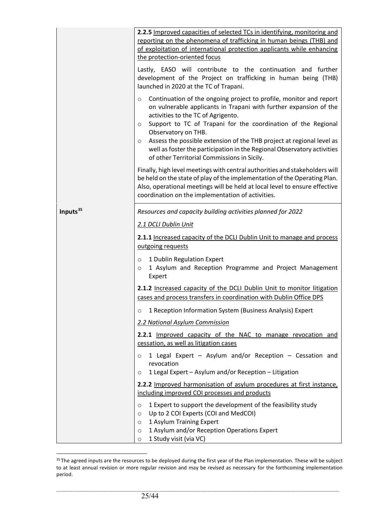|                      | 2.2.5 Improved capacities of selected TCs in identifying, monitoring and<br>reporting on the phenomena of trafficking in human beings (THB) and<br>of exploitation of international protection applicants while enhancing<br>the protection-oriented focus                                                                                                                                                                                                                                          |
|----------------------|-----------------------------------------------------------------------------------------------------------------------------------------------------------------------------------------------------------------------------------------------------------------------------------------------------------------------------------------------------------------------------------------------------------------------------------------------------------------------------------------------------|
|                      | Lastly, EASO will contribute to the continuation and further<br>development of the Project on trafficking in human being (THB)<br>launched in 2020 at the TC of Trapani.                                                                                                                                                                                                                                                                                                                            |
|                      | Continuation of the ongoing project to profile, monitor and report<br>O<br>on vulnerable applicants in Trapani with further expansion of the<br>activities to the TC of Agrigento.<br>Support to TC of Trapani for the coordination of the Regional<br>$\circ$<br>Observatory on THB.<br>Assess the possible extension of the THB project at regional level as<br>$\circ$<br>well as foster the participation in the Regional Observatory activities<br>of other Territorial Commissions in Sicily. |
|                      | Finally, high level meetings with central authorities and stakeholders will<br>be held on the state of play of the implementation of the Operating Plan.<br>Also, operational meetings will be held at local level to ensure effective<br>coordination on the implementation of activities.                                                                                                                                                                                                         |
| Inputs <sup>35</sup> | Resources and capacity building activities planned for 2022                                                                                                                                                                                                                                                                                                                                                                                                                                         |
|                      | 2.1 DCLI Dublin Unit                                                                                                                                                                                                                                                                                                                                                                                                                                                                                |
|                      | 2.1.1 Increased capacity of the DCLI Dublin Unit to manage and process<br>outgoing requests                                                                                                                                                                                                                                                                                                                                                                                                         |
|                      | 1 Dublin Regulation Expert<br>$\circ$<br>1 Asylum and Reception Programme and Project Management<br>$\circ$<br>Expert                                                                                                                                                                                                                                                                                                                                                                               |
|                      | 2.1.2 Increased capacity of the DCLI Dublin Unit to monitor litigation<br>cases and process transfers in coordination with Dublin Office DPS                                                                                                                                                                                                                                                                                                                                                        |
|                      | 1 Reception Information System (Business Analysis) Expert<br>O                                                                                                                                                                                                                                                                                                                                                                                                                                      |
|                      | 2.2 National Asylum Commission                                                                                                                                                                                                                                                                                                                                                                                                                                                                      |
|                      | 2.2.1 Improved capacity of the NAC to manage revocation and<br>cessation, as well as litigation cases                                                                                                                                                                                                                                                                                                                                                                                               |
|                      | 1 Legal Expert - Asylum and/or Reception - Cessation and<br>O<br>revocation<br>1 Legal Expert - Asylum and/or Reception - Litigation<br>O                                                                                                                                                                                                                                                                                                                                                           |
|                      | 2.2.2 Improved harmonisation of asylum procedures at first instance,<br>including improved COI processes and products                                                                                                                                                                                                                                                                                                                                                                               |
|                      | 1 Expert to support the development of the feasibility study<br>$\circ$<br>Up to 2 COI Experts (COI and MedCOI)<br>$\circ$<br>1 Asylum Training Expert<br>$\circ$<br>1 Asylum and/or Reception Operations Expert<br>$\circ$<br>1 Study visit (via VC)<br>$\circ$                                                                                                                                                                                                                                    |

<span id="page-24-0"></span><sup>&</sup>lt;sup>35</sup> The agreed inputs are the resources to be deployed during the first year of the Plan implementation. These will be subject to at least annual revision or more regular revision and may be revised as necessary for the forthcoming implementation period.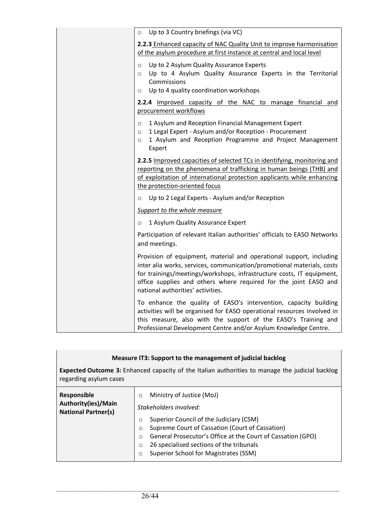| Up to 3 Country briefings (via VC)<br>$\circ$                                                                                                                                                                                                                                                                                   |
|---------------------------------------------------------------------------------------------------------------------------------------------------------------------------------------------------------------------------------------------------------------------------------------------------------------------------------|
| 2.2.3 Enhanced capacity of NAC Quality Unit to improve harmonisation<br>of the asylum procedure at first instance at central and local level                                                                                                                                                                                    |
| Up to 2 Asylum Quality Assurance Experts<br>$\circ$<br>Up to 4 Asylum Quality Assurance Experts in the Territorial<br>$\circ$<br>Commissions<br>Up to 4 quality coordination workshops<br>$\circ$                                                                                                                               |
| 2.2.4 Improved capacity of the NAC to manage financial and<br>procurement workflows                                                                                                                                                                                                                                             |
| 1 Asylum and Reception Financial Management Expert<br>$\circ$<br>1 Legal Expert - Asylum and/or Reception - Procurement<br>$\circ$<br>1 Asylum and Reception Programme and Project Management<br>$\circ$<br>Expert                                                                                                              |
| 2.2.5 Improved capacities of selected TCs in identifying, monitoring and<br>reporting on the phenomena of trafficking in human beings (THB) and<br>of exploitation of international protection applicants while enhancing<br>the protection-oriented focus                                                                      |
| Up to 2 Legal Experts - Asylum and/or Reception<br>$\circ$                                                                                                                                                                                                                                                                      |
| Support to the whole measure                                                                                                                                                                                                                                                                                                    |
| 1 Asylum Quality Assurance Expert<br>$\circ$                                                                                                                                                                                                                                                                                    |
| Participation of relevant Italian authorities' officials to EASO Networks<br>and meetings.                                                                                                                                                                                                                                      |
| Provision of equipment, material and operational support, including<br>inter alia works, services, communication/promotional materials, costs<br>for trainings/meetings/workshops, infrastructure costs, IT equipment,<br>office supplies and others where required for the joint EASO and<br>national authorities' activities. |
| To enhance the quality of EASO's intervention, capacity building<br>activities will be organised for EASO operational resources involved in<br>this measure, also with the support of the EASO's Training and<br>Professional Development Centre and/or Asylum Knowledge Centre.                                                |

| Measure IT3: Support to the management of judicial backlog<br><b>Expected Outcome 3:</b> Enhanced capacity of the Italian authorities to manage the judicial backlog<br>regarding asylum cases |                                                                                                                                                                                                                                                                                                                                                                           |
|------------------------------------------------------------------------------------------------------------------------------------------------------------------------------------------------|---------------------------------------------------------------------------------------------------------------------------------------------------------------------------------------------------------------------------------------------------------------------------------------------------------------------------------------------------------------------------|
| <b>Responsible</b><br>Authority(ies)/Main<br><b>National Partner(s)</b>                                                                                                                        | Ministry of Justice (MoJ)<br>$\circ$<br>Stakeholders involved:<br>Superior Council of the Judiciary (CSM)<br>$\Omega$<br>Supreme Court of Cassation (Court of Cassation)<br>$\circ$<br>General Prosecutor's Office at the Court of Cassation (GPO)<br>$\Omega$<br>26 specialised sections of the tribunals<br>$\circ$<br>Superior School for Magistrates (SSM)<br>$\circ$ |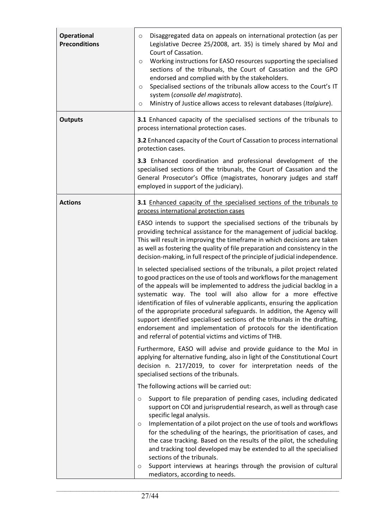| <b>Operational</b><br><b>Preconditions</b> | Disaggregated data on appeals on international protection (as per<br>O<br>Legislative Decree 25/2008, art. 35) is timely shared by MoJ and<br>Court of Cassation.<br>Working instructions for EASO resources supporting the specialised<br>$\circ$<br>sections of the tribunals, the Court of Cassation and the GPO<br>endorsed and complied with by the stakeholders.<br>Specialised sections of the tribunals allow access to the Court's IT<br>$\circ$<br>system (consolle del magistrato).<br>Ministry of Justice allows access to relevant databases (Italgiure).<br>$\circ$                                                                                    |
|--------------------------------------------|----------------------------------------------------------------------------------------------------------------------------------------------------------------------------------------------------------------------------------------------------------------------------------------------------------------------------------------------------------------------------------------------------------------------------------------------------------------------------------------------------------------------------------------------------------------------------------------------------------------------------------------------------------------------|
| <b>Outputs</b>                             | 3.1 Enhanced capacity of the specialised sections of the tribunals to<br>process international protection cases.                                                                                                                                                                                                                                                                                                                                                                                                                                                                                                                                                     |
|                                            | 3.2 Enhanced capacity of the Court of Cassation to process international<br>protection cases.                                                                                                                                                                                                                                                                                                                                                                                                                                                                                                                                                                        |
|                                            | 3.3 Enhanced coordination and professional development of the<br>specialised sections of the tribunals, the Court of Cassation and the<br>General Prosecutor's Office (magistrates, honorary judges and staff<br>employed in support of the judiciary).                                                                                                                                                                                                                                                                                                                                                                                                              |
| <b>Actions</b>                             | 3.1 Enhanced capacity of the specialised sections of the tribunals to<br>process international protection cases                                                                                                                                                                                                                                                                                                                                                                                                                                                                                                                                                      |
|                                            | EASO intends to support the specialised sections of the tribunals by<br>providing technical assistance for the management of judicial backlog.<br>This will result in improving the timeframe in which decisions are taken<br>as well as fostering the quality of file preparation and consistency in the<br>decision-making, in full respect of the principle of judicial independence.                                                                                                                                                                                                                                                                             |
|                                            | In selected specialised sections of the tribunals, a pilot project related<br>to good practices on the use of tools and workflows for the management<br>of the appeals will be implemented to address the judicial backlog in a<br>systematic way. The tool will also allow for a more effective<br>identification of files of vulnerable applicants, ensuring the application<br>of the appropriate procedural safeguards. In addition, the Agency will<br>support identified specialised sections of the tribunals in the drafting,<br>endorsement and implementation of protocols for the identification<br>and referral of potential victims and victims of THB. |
|                                            | Furthermore, EASO will advise and provide guidance to the MoJ in<br>applying for alternative funding, also in light of the Constitutional Court<br>decision n. 217/2019, to cover for interpretation needs of the<br>specialised sections of the tribunals.                                                                                                                                                                                                                                                                                                                                                                                                          |
|                                            | The following actions will be carried out:                                                                                                                                                                                                                                                                                                                                                                                                                                                                                                                                                                                                                           |
|                                            | Support to file preparation of pending cases, including dedicated<br>$\circ$<br>support on COI and jurisprudential research, as well as through case<br>specific legal analysis.<br>Implementation of a pilot project on the use of tools and workflows<br>$\circ$<br>for the scheduling of the hearings, the prioritisation of cases, and<br>the case tracking. Based on the results of the pilot, the scheduling<br>and tracking tool developed may be extended to all the specialised<br>sections of the tribunals.<br>Support interviews at hearings through the provision of cultural<br>O<br>mediators, according to needs.                                    |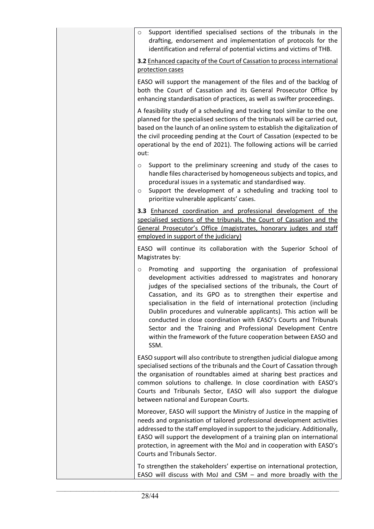| Support identified specialised sections of the tribunals in the<br>$\circ$<br>drafting, endorsement and implementation of protocols for the<br>identification and referral of potential victims and victims of THB.                                                                                                                                                                                                                                                                                                                                                                                                               |
|-----------------------------------------------------------------------------------------------------------------------------------------------------------------------------------------------------------------------------------------------------------------------------------------------------------------------------------------------------------------------------------------------------------------------------------------------------------------------------------------------------------------------------------------------------------------------------------------------------------------------------------|
| 3.2 Enhanced capacity of the Court of Cassation to process international<br>protection cases                                                                                                                                                                                                                                                                                                                                                                                                                                                                                                                                      |
| EASO will support the management of the files and of the backlog of<br>both the Court of Cassation and its General Prosecutor Office by<br>enhancing standardisation of practices, as well as swifter proceedings.                                                                                                                                                                                                                                                                                                                                                                                                                |
| A feasibility study of a scheduling and tracking tool similar to the one<br>planned for the specialised sections of the tribunals will be carried out,<br>based on the launch of an online system to establish the digitalization of<br>the civil proceeding pending at the Court of Cassation (expected to be<br>operational by the end of 2021). The following actions will be carried<br>out:                                                                                                                                                                                                                                  |
| Support to the preliminary screening and study of the cases to<br>$\circ$<br>handle files characterised by homogeneous subjects and topics, and<br>procedural issues in a systematic and standardised way.<br>Support the development of a scheduling and tracking tool to<br>$\circ$<br>prioritize vulnerable applicants' cases.                                                                                                                                                                                                                                                                                                 |
| 3.3 Enhanced coordination and professional development of the<br>specialised sections of the tribunals, the Court of Cassation and the<br>General Prosecutor's Office (magistrates, honorary judges and staff<br>employed in support of the judiciary)                                                                                                                                                                                                                                                                                                                                                                            |
| EASO will continue its collaboration with the Superior School of<br>Magistrates by:                                                                                                                                                                                                                                                                                                                                                                                                                                                                                                                                               |
| Promoting and supporting the organisation of professional<br>$\circ$<br>development activities addressed to magistrates and honorary<br>judges of the specialised sections of the tribunals, the Court of<br>Cassation, and its GPO as to strengthen their expertise and<br>specialisation in the field of international protection (including<br>Dublin procedures and vulnerable applicants). This action will be<br>conducted in close coordination with EASO's Courts and Tribunals<br>Sector and the Training and Professional Development Centre<br>within the framework of the future cooperation between EASO and<br>SSM. |
| EASO support will also contribute to strengthen judicial dialogue among<br>specialised sections of the tribunals and the Court of Cassation through<br>the organisation of roundtables aimed at sharing best practices and<br>common solutions to challenge. In close coordination with EASO's<br>Courts and Tribunals Sector, EASO will also support the dialogue<br>between national and European Courts.                                                                                                                                                                                                                       |
| Moreover, EASO will support the Ministry of Justice in the mapping of<br>needs and organisation of tailored professional development activities<br>addressed to the staff employed in support to the judiciary. Additionally,<br>EASO will support the development of a training plan on international<br>protection, in agreement with the MoJ and in cooperation with EASO's<br>Courts and Tribunals Sector.                                                                                                                                                                                                                    |
| To strengthen the stakeholders' expertise on international protection,<br>EASO will discuss with MoJ and CSM $-$ and more broadly with the                                                                                                                                                                                                                                                                                                                                                                                                                                                                                        |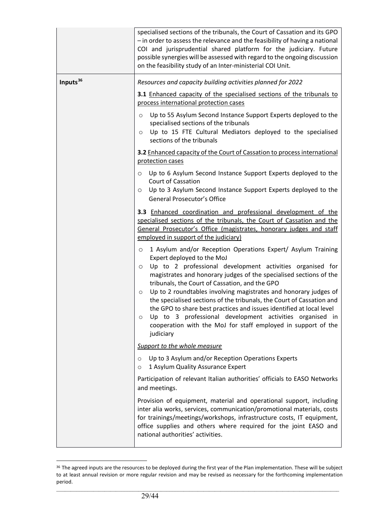|                      | specialised sections of the tribunals, the Court of Cassation and its GPO<br>- in order to assess the relevance and the feasibility of having a national<br>COI and jurisprudential shared platform for the judiciary. Future<br>possible synergies will be assessed with regard to the ongoing discussion<br>on the feasibility study of an Inter-ministerial COI Unit.                                                                                                                                                                                                                                                                                                                   |
|----------------------|--------------------------------------------------------------------------------------------------------------------------------------------------------------------------------------------------------------------------------------------------------------------------------------------------------------------------------------------------------------------------------------------------------------------------------------------------------------------------------------------------------------------------------------------------------------------------------------------------------------------------------------------------------------------------------------------|
| Inputs <sup>36</sup> | Resources and capacity building activities planned for 2022<br>3.1 Enhanced capacity of the specialised sections of the tribunals to<br>process international protection cases                                                                                                                                                                                                                                                                                                                                                                                                                                                                                                             |
|                      | Up to 55 Asylum Second Instance Support Experts deployed to the<br>$\circ$<br>specialised sections of the tribunals<br>Up to 15 FTE Cultural Mediators deployed to the specialised<br>$\circ$<br>sections of the tribunals                                                                                                                                                                                                                                                                                                                                                                                                                                                                 |
|                      | 3.2 Enhanced capacity of the Court of Cassation to process international<br>protection cases                                                                                                                                                                                                                                                                                                                                                                                                                                                                                                                                                                                               |
|                      | Up to 6 Asylum Second Instance Support Experts deployed to the<br>O<br><b>Court of Cassation</b><br>Up to 3 Asylum Second Instance Support Experts deployed to the<br>O<br>General Prosecutor's Office                                                                                                                                                                                                                                                                                                                                                                                                                                                                                     |
|                      | 3.3 Enhanced coordination and professional development of the<br>specialised sections of the tribunals, the Court of Cassation and the<br>General Prosecutor's Office (magistrates, honorary judges and staff<br>employed in support of the judiciary)                                                                                                                                                                                                                                                                                                                                                                                                                                     |
|                      | 1 Asylum and/or Reception Operations Expert/ Asylum Training<br>$\circ$<br>Expert deployed to the MoJ<br>Up to 2 professional development activities organised for<br>$\circ$<br>magistrates and honorary judges of the specialised sections of the<br>tribunals, the Court of Cassation, and the GPO<br>Up to 2 roundtables involving magistrates and honorary judges of<br>$\circ$<br>the specialised sections of the tribunals, the Court of Cassation and<br>the GPO to share best practices and issues identified at local level<br>Up to 3 professional development activities organised in<br>$\circ$<br>cooperation with the MoJ for staff employed in support of the<br>judiciary |
|                      | Support to the whole measure                                                                                                                                                                                                                                                                                                                                                                                                                                                                                                                                                                                                                                                               |
|                      | Up to 3 Asylum and/or Reception Operations Experts<br>$\circ$<br>1 Asylum Quality Assurance Expert<br>$\circ$                                                                                                                                                                                                                                                                                                                                                                                                                                                                                                                                                                              |
|                      | Participation of relevant Italian authorities' officials to EASO Networks<br>and meetings.                                                                                                                                                                                                                                                                                                                                                                                                                                                                                                                                                                                                 |
|                      | Provision of equipment, material and operational support, including<br>inter alia works, services, communication/promotional materials, costs<br>for trainings/meetings/workshops, infrastructure costs, IT equipment,<br>office supplies and others where required for the joint EASO and<br>national authorities' activities.                                                                                                                                                                                                                                                                                                                                                            |

<span id="page-28-0"></span><sup>&</sup>lt;sup>36</sup> The agreed inputs are the resources to be deployed during the first year of the Plan implementation. These will be subject to at least annual revision or more regular revision and may be revised as necessary for the forthcoming implementation period.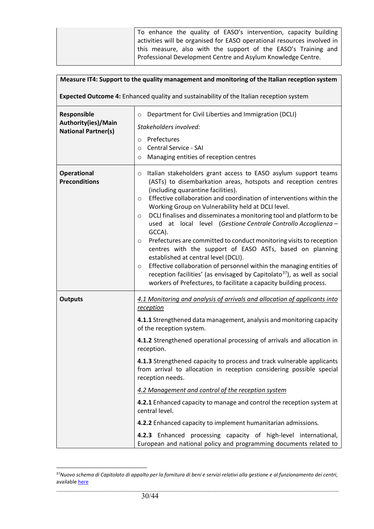| To enhance the quality of EASO's intervention, capacity building        |
|-------------------------------------------------------------------------|
| activities will be organised for EASO operational resources involved in |
| this measure, also with the support of the EASO's Training and          |
| Professional Development Centre and Asylum Knowledge Centre.            |

| Measure IT4: Support to the quality management and monitoring of the Italian reception system |                                                                                                                                                                                                                                                                                                                                                                                                                                                                                                                                                                                                                                                                                                                                                                                                                                                                                                                      |  |
|-----------------------------------------------------------------------------------------------|----------------------------------------------------------------------------------------------------------------------------------------------------------------------------------------------------------------------------------------------------------------------------------------------------------------------------------------------------------------------------------------------------------------------------------------------------------------------------------------------------------------------------------------------------------------------------------------------------------------------------------------------------------------------------------------------------------------------------------------------------------------------------------------------------------------------------------------------------------------------------------------------------------------------|--|
|                                                                                               | Expected Outcome 4: Enhanced quality and sustainability of the Italian reception system                                                                                                                                                                                                                                                                                                                                                                                                                                                                                                                                                                                                                                                                                                                                                                                                                              |  |
| Responsible<br>Authority(ies)/Main<br><b>National Partner(s)</b>                              | Department for Civil Liberties and Immigration (DCLI)<br>$\circ$<br>Stakeholders involved:<br>Prefectures<br>$\circ$<br>Central Service - SAI<br>$\circ$<br>Managing entities of reception centres<br>$\circ$                                                                                                                                                                                                                                                                                                                                                                                                                                                                                                                                                                                                                                                                                                        |  |
| <b>Operational</b><br><b>Preconditions</b>                                                    | Italian stakeholders grant access to EASO asylum support teams<br>O<br>(ASTs) to disembarkation areas, hotspots and reception centres<br>(including quarantine facilities).<br>Effective collaboration and coordination of interventions within the<br>$\circ$<br>Working Group on Vulnerability held at DCLI level.<br>DCLI finalises and disseminates a monitoring tool and platform to be<br>O<br>used at local level (Gestione Centrale Controllo Accoglienza -<br>GCCA).<br>Prefectures are committed to conduct monitoring visits to reception<br>$\circ$<br>centres with the support of EASO ASTs, based on planning<br>established at central level (DCLI).<br>Effective collaboration of personnel within the managing entities of<br>$\circ$<br>reception facilities' (as envisaged by Capitolato <sup>37</sup> ), as well as social<br>workers of Prefectures, to facilitate a capacity building process. |  |
| <b>Outputs</b>                                                                                | 4.1 Monitoring and analysis of arrivals and allocation of applicants into<br><i>reception</i><br>4.1.1 Strengthened data management, analysis and monitoring capacity<br>of the reception system.<br>4.1.2 Strengthened operational processing of arrivals and allocation in<br>reception.<br>4.1.3 Strengthened capacity to process and track vulnerable applicants<br>from arrival to allocation in reception considering possible special<br>reception needs.<br>4.2 Management and control of the reception system<br>4.2.1 Enhanced capacity to manage and control the reception system at<br>central level.<br>4.2.2 Enhanced capacity to implement humanitarian admissions.<br>4.2.3 Enhanced processing capacity of high-level international,<br>European and national policy and programming documents related to                                                                                           |  |

<span id="page-29-0"></span> $\_$  ,  $\_$  ,  $\_$  ,  $\_$  ,  $\_$  ,  $\_$  ,  $\_$  ,  $\_$  ,  $\_$  ,  $\_$  ,  $\_$  ,  $\_$  ,  $\_$  ,  $\_$  ,  $\_$  ,  $\_$  ,  $\_$  ,  $\_$  ,  $\_$  ,  $\_$  ,  $\_$  ,  $\_$  ,  $\_$  ,  $\_$  ,  $\_$  ,  $\_$  ,  $\_$  ,  $\_$  ,  $\_$  ,  $\_$  ,  $\_$  ,  $\_$  ,  $\_$  ,  $\_$  ,  $\_$  ,  $\_$  ,  $\_$  , <sup>37</sup>*Nuovo schema di Capitolato di appalto per la fornitura di beni e servizi relativi alla gestione e al funzionamento dei centri*, available **here**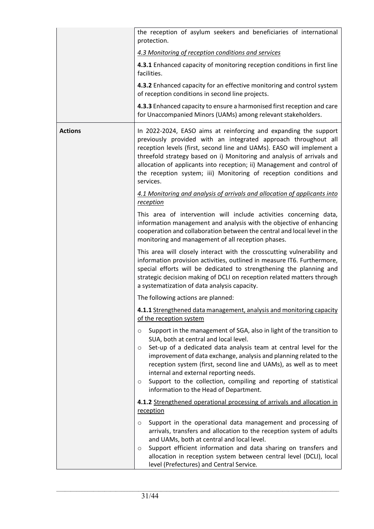|                | the reception of asylum seekers and beneficiaries of international<br>protection.                                                                                                                                                                                                                                                                                                                                                                                                                                        |
|----------------|--------------------------------------------------------------------------------------------------------------------------------------------------------------------------------------------------------------------------------------------------------------------------------------------------------------------------------------------------------------------------------------------------------------------------------------------------------------------------------------------------------------------------|
|                | 4.3 Monitoring of reception conditions and services                                                                                                                                                                                                                                                                                                                                                                                                                                                                      |
|                | 4.3.1 Enhanced capacity of monitoring reception conditions in first line<br>facilities.                                                                                                                                                                                                                                                                                                                                                                                                                                  |
|                | 4.3.2 Enhanced capacity for an effective monitoring and control system<br>of reception conditions in second line projects.                                                                                                                                                                                                                                                                                                                                                                                               |
|                | 4.3.3 Enhanced capacity to ensure a harmonised first reception and care<br>for Unaccompanied Minors (UAMs) among relevant stakeholders.                                                                                                                                                                                                                                                                                                                                                                                  |
| <b>Actions</b> | In 2022-2024, EASO aims at reinforcing and expanding the support<br>previously provided with an integrated approach throughout all<br>reception levels (first, second line and UAMs). EASO will implement a<br>threefold strategy based on i) Monitoring and analysis of arrivals and<br>allocation of applicants into reception; ii) Management and control of<br>the reception system; iii) Monitoring of reception conditions and<br>services.                                                                        |
|                | 4.1 Monitoring and analysis of arrivals and allocation of applicants into<br>reception                                                                                                                                                                                                                                                                                                                                                                                                                                   |
|                | This area of intervention will include activities concerning data,<br>information management and analysis with the objective of enhancing<br>cooperation and collaboration between the central and local level in the<br>monitoring and management of all reception phases.                                                                                                                                                                                                                                              |
|                | This area will closely interact with the crosscutting vulnerability and<br>information provision activities, outlined in measure IT6. Furthermore,<br>special efforts will be dedicated to strengthening the planning and<br>strategic decision making of DCLI on reception related matters through<br>a systematization of data analysis capacity.                                                                                                                                                                      |
|                | The following actions are planned:                                                                                                                                                                                                                                                                                                                                                                                                                                                                                       |
|                | 4.1.1 Strengthened data management, analysis and monitoring capacity<br>of the reception system                                                                                                                                                                                                                                                                                                                                                                                                                          |
|                | Support in the management of SGA, also in light of the transition to<br>$\circ$<br>SUA, both at central and local level.<br>Set-up of a dedicated data analysis team at central level for the<br>$\circ$<br>improvement of data exchange, analysis and planning related to the<br>reception system (first, second line and UAMs), as well as to meet<br>internal and external reporting needs.<br>Support to the collection, compiling and reporting of statistical<br>$\circ$<br>information to the Head of Department. |
|                | 4.1.2 Strengthened operational processing of arrivals and allocation in<br>reception                                                                                                                                                                                                                                                                                                                                                                                                                                     |
|                | Support in the operational data management and processing of<br>$\circ$<br>arrivals, transfers and allocation to the reception system of adults<br>and UAMs, both at central and local level.<br>Support efficient information and data sharing on transfers and<br>$\circ$<br>allocation in reception system between central level (DCLI), local<br>level (Prefectures) and Central Service.                                                                                                                            |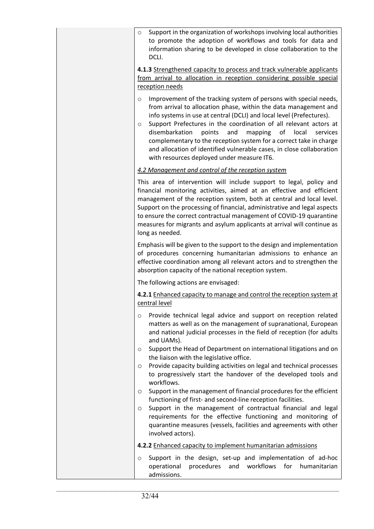| Support in the organization of workshops involving local authorities<br>$\circ$<br>to promote the adoption of workflows and tools for data and<br>information sharing to be developed in close collaboration to the<br>DCLI.                                                                                                                                                                                                                                                                                                                                                |
|-----------------------------------------------------------------------------------------------------------------------------------------------------------------------------------------------------------------------------------------------------------------------------------------------------------------------------------------------------------------------------------------------------------------------------------------------------------------------------------------------------------------------------------------------------------------------------|
| 4.1.3 Strengthened capacity to process and track vulnerable applicants<br>from arrival to allocation in reception considering possible special                                                                                                                                                                                                                                                                                                                                                                                                                              |
| reception needs                                                                                                                                                                                                                                                                                                                                                                                                                                                                                                                                                             |
| Improvement of the tracking system of persons with special needs,<br>$\circ$<br>from arrival to allocation phase, within the data management and<br>info systems in use at central (DCLI) and local level (Prefectures).<br>Support Prefectures in the coordination of all relevant actors at<br>$\circ$<br>disembarkation<br>points<br>and<br>mapping<br>of local<br>services<br>complementary to the reception system for a correct take in charge<br>and allocation of identified vulnerable cases, in close collaboration<br>with resources deployed under measure IT6. |
| 4.2 Management and control of the reception system                                                                                                                                                                                                                                                                                                                                                                                                                                                                                                                          |
| This area of intervention will include support to legal, policy and<br>financial monitoring activities, aimed at an effective and efficient<br>management of the reception system, both at central and local level.<br>Support on the processing of financial, administrative and legal aspects<br>to ensure the correct contractual management of COVID-19 quarantine<br>measures for migrants and asylum applicants at arrival will continue as<br>long as needed.                                                                                                        |
| Emphasis will be given to the support to the design and implementation<br>of procedures concerning humanitarian admissions to enhance an<br>effective coordination among all relevant actors and to strengthen the<br>absorption capacity of the national reception system.                                                                                                                                                                                                                                                                                                 |
| The following actions are envisaged:                                                                                                                                                                                                                                                                                                                                                                                                                                                                                                                                        |
| 4.2.1 Enhanced capacity to manage and control the reception system at<br>central level                                                                                                                                                                                                                                                                                                                                                                                                                                                                                      |
| Provide technical legal advice and support on reception related<br>O<br>matters as well as on the management of supranational, European<br>and national judicial processes in the field of reception (for adults<br>and UAMs).<br>Support the Head of Department on international litigations and on<br>$\circ$<br>the liaison with the legislative office.                                                                                                                                                                                                                 |
| Provide capacity building activities on legal and technical processes<br>$\circ$<br>to progressively start the handover of the developed tools and<br>workflows.                                                                                                                                                                                                                                                                                                                                                                                                            |
| Support in the management of financial procedures for the efficient<br>$\circ$<br>functioning of first- and second-line reception facilities.                                                                                                                                                                                                                                                                                                                                                                                                                               |
| Support in the management of contractual financial and legal<br>O<br>requirements for the effective functioning and monitoring of<br>quarantine measures (vessels, facilities and agreements with other<br>involved actors).                                                                                                                                                                                                                                                                                                                                                |
| 4.2.2 Enhanced capacity to implement humanitarian admissions                                                                                                                                                                                                                                                                                                                                                                                                                                                                                                                |
| Support in the design, set-up and implementation of ad-hoc<br>O<br>and workflows for<br>operational<br>procedures<br>humanitarian<br>admissions.                                                                                                                                                                                                                                                                                                                                                                                                                            |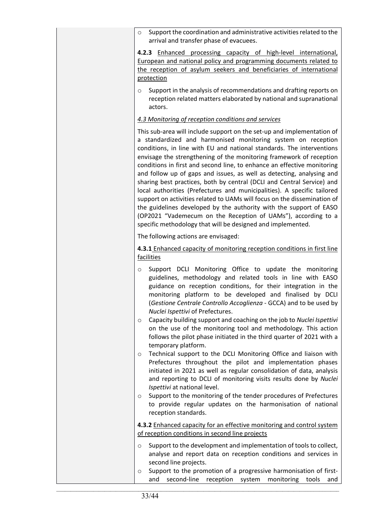| Support the coordination and administrative activities related to the<br>$\circ$<br>arrival and transfer phase of evacuees.                                                                                                                                                                                                                                                                                                                                                                                                                                                                                                                                                                                                                                                                                                                                                                                                                    |
|------------------------------------------------------------------------------------------------------------------------------------------------------------------------------------------------------------------------------------------------------------------------------------------------------------------------------------------------------------------------------------------------------------------------------------------------------------------------------------------------------------------------------------------------------------------------------------------------------------------------------------------------------------------------------------------------------------------------------------------------------------------------------------------------------------------------------------------------------------------------------------------------------------------------------------------------|
| 4.2.3 Enhanced processing capacity of high-level international,<br>European and national policy and programming documents related to<br>the reception of asylum seekers and beneficiaries of international<br>protection                                                                                                                                                                                                                                                                                                                                                                                                                                                                                                                                                                                                                                                                                                                       |
| Support in the analysis of recommendations and drafting reports on<br>$\circ$<br>reception related matters elaborated by national and supranational<br>actors.                                                                                                                                                                                                                                                                                                                                                                                                                                                                                                                                                                                                                                                                                                                                                                                 |
| 4.3 Monitoring of reception conditions and services                                                                                                                                                                                                                                                                                                                                                                                                                                                                                                                                                                                                                                                                                                                                                                                                                                                                                            |
| This sub-area will include support on the set-up and implementation of<br>a standardized and harmonised monitoring system on reception<br>conditions, in line with EU and national standards. The interventions<br>envisage the strengthening of the monitoring framework of reception<br>conditions in first and second line, to enhance an effective monitoring<br>and follow up of gaps and issues, as well as detecting, analysing and<br>sharing best practices, both by central (DCLI and Central Service) and<br>local authorities (Prefectures and municipalities). A specific tailored<br>support on activities related to UAMs will focus on the dissemination of<br>the guidelines developed by the authority with the support of EASO<br>(OP2021 "Vademecum on the Reception of UAMs"), according to a<br>specific methodology that will be designed and implemented.                                                              |
| The following actions are envisaged:                                                                                                                                                                                                                                                                                                                                                                                                                                                                                                                                                                                                                                                                                                                                                                                                                                                                                                           |
| 4.3.1 Enhanced capacity of monitoring reception conditions in first line<br>facilities                                                                                                                                                                                                                                                                                                                                                                                                                                                                                                                                                                                                                                                                                                                                                                                                                                                         |
| Support DCLI Monitoring Office to update the monitoring<br>$\circ$<br>guidelines, methodology and related tools in line with EASO<br>guidance on reception conditions, for their integration in the<br>monitoring platform to be developed and finalised by DCLI<br>(Gestione Centrale Controllo Accoglienza - GCCA) and to be used by<br>Nuclei Ispettivi of Prefectures.<br>Capacity building support and coaching on the job to Nuclei Ispettivi<br>O<br>on the use of the monitoring tool and methodology. This action<br>follows the pilot phase initiated in the third quarter of 2021 with a<br>temporary platform.<br>Technical support to the DCLI Monitoring Office and liaison with<br>O<br>Prefectures throughout the pilot and implementation phases<br>initiated in 2021 as well as regular consolidation of data, analysis<br>and reporting to DCLI of monitoring visits results done by Nuclei<br>Ispettivi at national level. |
| Support to the monitoring of the tender procedures of Prefectures<br>O<br>to provide regular updates on the harmonisation of national<br>reception standards.                                                                                                                                                                                                                                                                                                                                                                                                                                                                                                                                                                                                                                                                                                                                                                                  |
| 4.3.2 Enhanced capacity for an effective monitoring and control system<br>of reception conditions in second line projects                                                                                                                                                                                                                                                                                                                                                                                                                                                                                                                                                                                                                                                                                                                                                                                                                      |
| Support to the development and implementation of tools to collect,<br>O<br>analyse and report data on reception conditions and services in<br>second line projects.<br>Support to the promotion of a progressive harmonisation of first-<br>O                                                                                                                                                                                                                                                                                                                                                                                                                                                                                                                                                                                                                                                                                                  |
| second-line<br>reception<br>system<br>monitoring<br>and<br>tools<br>and                                                                                                                                                                                                                                                                                                                                                                                                                                                                                                                                                                                                                                                                                                                                                                                                                                                                        |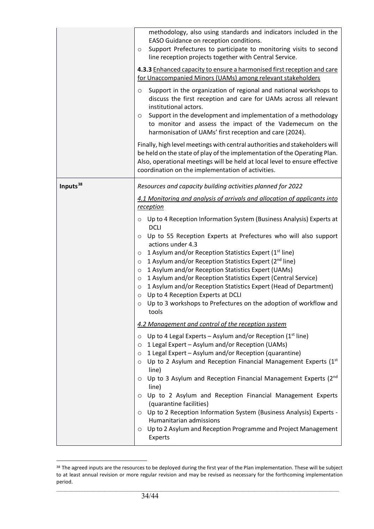|                      | methodology, also using standards and indicators included in the<br>EASO Guidance on reception conditions.<br>Support Prefectures to participate to monitoring visits to second<br>O<br>line reception projects together with Central Service.<br>4.3.3 Enhanced capacity to ensure a harmonised first reception and care<br>for Unaccompanied Minors (UAMs) among relevant stakeholders<br>Support in the organization of regional and national workshops to<br>O<br>discuss the first reception and care for UAMs across all relevant<br>institutional actors.<br>Support in the development and implementation of a methodology<br>O<br>to monitor and assess the impact of the Vademecum on the<br>harmonisation of UAMs' first reception and care (2024).<br>Finally, high level meetings with central authorities and stakeholders will<br>be held on the state of play of the implementation of the Operating Plan.<br>Also, operational meetings will be held at local level to ensure effective<br>coordination on the implementation of activities. |
|----------------------|---------------------------------------------------------------------------------------------------------------------------------------------------------------------------------------------------------------------------------------------------------------------------------------------------------------------------------------------------------------------------------------------------------------------------------------------------------------------------------------------------------------------------------------------------------------------------------------------------------------------------------------------------------------------------------------------------------------------------------------------------------------------------------------------------------------------------------------------------------------------------------------------------------------------------------------------------------------------------------------------------------------------------------------------------------------|
| Inputs <sup>38</sup> | Resources and capacity building activities planned for 2022<br>4.1 Monitoring and analysis of arrivals and allocation of applicants into<br>reception<br>Up to 4 Reception Information System (Business Analysis) Experts at<br>O<br><b>DCLI</b><br>Up to 55 Reception Experts at Prefectures who will also support<br>$\circ$<br>actions under 4.3<br>$\circ$ 1 Asylum and/or Reception Statistics Expert (1 <sup>st</sup> line)<br>1 Asylum and/or Reception Statistics Expert (2 <sup>nd</sup> line)<br>$\circ$<br>1 Asylum and/or Reception Statistics Expert (UAMs)<br>$\circ$<br>1 Asylum and/or Reception Statistics Expert (Central Service)<br>$\circ$<br>1 Asylum and/or Reception Statistics Expert (Head of Department)<br>$\circ$<br>o Up to 4 Reception Experts at DCLI<br>Up to 3 workshops to Prefectures on the adoption of workflow and<br>$\circ$<br>tools                                                                                                                                                                                 |
|                      | 4.2 Management and control of the reception system<br>Up to 4 Legal Experts – Asylum and/or Reception ( $1st$ line)<br>$\circ$<br>1 Legal Expert - Asylum and/or Reception (UAMs)<br>$\circ$<br>1 Legal Expert - Asylum and/or Reception (quarantine)<br>$\circ$<br>Up to 2 Asylum and Reception Financial Management Experts (1st<br>$\circ$<br>line)<br>Up to 3 Asylum and Reception Financial Management Experts (2nd<br>$\circ$<br>line)<br>Up to 2 Asylum and Reception Financial Management Experts<br>$\circ$<br>(quarantine facilities)<br>Up to 2 Reception Information System (Business Analysis) Experts -<br>$\circ$<br>Humanitarian admissions<br>Up to 2 Asylum and Reception Programme and Project Management<br>$\circ$<br>Experts                                                                                                                                                                                                                                                                                                            |

<span id="page-33-0"></span><sup>38</sup> The agreed inputs are the resources to be deployed during the first year of the Plan implementation. These will be subject to at least annual revision or more regular revision and may be revised as necessary for the forthcoming implementation period.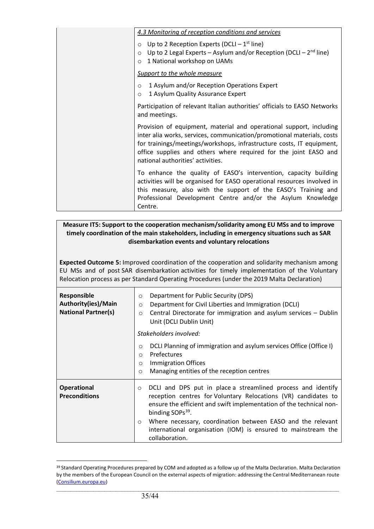|                               | 4.3 Monitoring of reception conditions and services                                                                                                                                                                                                                                                                             |
|-------------------------------|---------------------------------------------------------------------------------------------------------------------------------------------------------------------------------------------------------------------------------------------------------------------------------------------------------------------------------|
| $\circ$<br>$\circ$<br>$\circ$ | Up to 2 Reception Experts (DCLI $-1^{st}$ line)<br>Up to 2 Legal Experts - Asylum and/or Reception (DCLI - $2^{nd}$ line)<br>1 National workshop on UAMs                                                                                                                                                                        |
|                               | Support to the whole measure                                                                                                                                                                                                                                                                                                    |
| $\circ$<br>$\circ$            | 1 Asylum and/or Reception Operations Expert<br>1 Asylum Quality Assurance Expert                                                                                                                                                                                                                                                |
|                               | Participation of relevant Italian authorities' officials to EASO Networks<br>and meetings.                                                                                                                                                                                                                                      |
|                               | Provision of equipment, material and operational support, including<br>inter alia works, services, communication/promotional materials, costs<br>for trainings/meetings/workshops, infrastructure costs, IT equipment,<br>office supplies and others where required for the joint EASO and<br>national authorities' activities. |
|                               | To enhance the quality of EASO's intervention, capacity building<br>activities will be organised for EASO operational resources involved in<br>this measure, also with the support of the EASO's Training and<br>Professional Development Centre and/or the Asylum Knowledge<br>Centre.                                         |

#### **Measure IT5: Support to the cooperation mechanism/solidarity among EU MSs and to improve timely coordination of the main stakeholders, including in emergency situations such as SAR disembarkation events and voluntary relocations**

**Expected Outcome 5:** Improved coordination of the cooperation and solidarity mechanism among EU MSs and of post SAR disembarkation activities for timely implementation of the Voluntary Relocation process as per Standard Operating Procedures (under the 2019 Malta Declaration)

| <b>Responsible</b><br>Authority(ies)/Main<br><b>National Partner(s)</b> | Department for Public Security (DPS)<br>$\circ$<br>Department for Civil Liberties and Immigration (DCLI)<br>$\circ$<br>Central Directorate for immigration and asylum services - Dublin<br>$\circ$<br>Unit (DCLI Dublin Unit)                    |
|-------------------------------------------------------------------------|--------------------------------------------------------------------------------------------------------------------------------------------------------------------------------------------------------------------------------------------------|
|                                                                         | Stakeholders involved:                                                                                                                                                                                                                           |
|                                                                         | DCLI Planning of immigration and asylum services Office (Office I)<br>$\circ$<br>Prefectures<br>$\circ$<br><b>Immigration Offices</b><br>$\circ$                                                                                                 |
|                                                                         | Managing entities of the reception centres<br>$\circ$                                                                                                                                                                                            |
| <b>Operational</b><br><b>Preconditions</b>                              | DCLI and DPS put in place a streamlined process and identify<br>$\circ$<br>reception centres for Voluntary Relocations (VR) candidates to<br>ensure the efficient and swift implementation of the technical non-<br>binding SOPs <sup>39</sup> . |
|                                                                         | Where necessary, coordination between EASO and the relevant<br>$\circ$<br>international organisation (IOM) is ensured to mainstream the<br>collaboration.                                                                                        |

<span id="page-34-0"></span><sup>&</sup>lt;sup>39</sup> Standard Operating Procedures prepared by COM and adopted as a follow up of the Malta Declaration. Malta Declaration by the members of the European Council on the external aspects of migration: addressing the Central Mediterranean route [\(Consilium.europa.eu\)](https://www.consilium.europa.eu/en/press/press-releases/2017/02/03/malta-declaration/)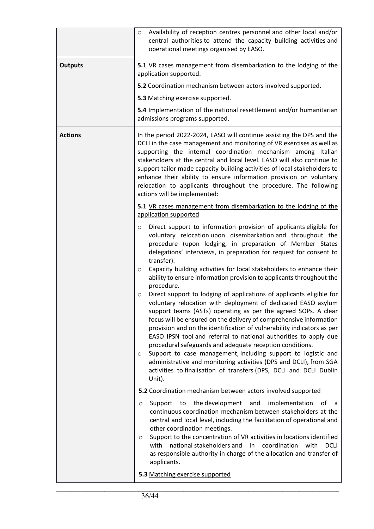|                | Availability of reception centres personnel and other local and/or<br>$\circ$<br>central authorities to attend the capacity building activities and<br>operational meetings organised by EASO.                                                                                                                                                                                                                                                                                                                                                                                                                                                                                                                                                                                                                                                                                                                                                                                                                                                                                                                                                                                                                                                                                                  |
|----------------|-------------------------------------------------------------------------------------------------------------------------------------------------------------------------------------------------------------------------------------------------------------------------------------------------------------------------------------------------------------------------------------------------------------------------------------------------------------------------------------------------------------------------------------------------------------------------------------------------------------------------------------------------------------------------------------------------------------------------------------------------------------------------------------------------------------------------------------------------------------------------------------------------------------------------------------------------------------------------------------------------------------------------------------------------------------------------------------------------------------------------------------------------------------------------------------------------------------------------------------------------------------------------------------------------|
| <b>Outputs</b> | 5.1 VR cases management from disembarkation to the lodging of the<br>application supported.<br>5.2 Coordination mechanism between actors involved supported.<br>5.3 Matching exercise supported.<br>5.4 Implementation of the national resettlement and/or humanitarian<br>admissions programs supported.                                                                                                                                                                                                                                                                                                                                                                                                                                                                                                                                                                                                                                                                                                                                                                                                                                                                                                                                                                                       |
| <b>Actions</b> | In the period 2022-2024, EASO will continue assisting the DPS and the<br>DCLI in the case management and monitoring of VR exercises as well as<br>supporting the internal coordination mechanism among Italian<br>stakeholders at the central and local level. EASO will also continue to<br>support tailor made capacity building activities of local stakeholders to<br>enhance their ability to ensure information provision on voluntary<br>relocation to applicants throughout the procedure. The following<br>actions will be implemented:<br>5.1 VR cases management from disembarkation to the lodging of the                                                                                                                                                                                                                                                                                                                                                                                                                                                                                                                                                                                                                                                                           |
|                | application supported<br>Direct support to information provision of applicants eligible for<br>O<br>voluntary relocation upon disembarkation and throughout the<br>procedure (upon lodging, in preparation of Member States<br>delegations' interviews, in preparation for request for consent to<br>transfer).<br>Capacity building activities for local stakeholders to enhance their<br>$\circ$<br>ability to ensure information provision to applicants throughout the<br>procedure.<br>Direct support to lodging of applications of applicants eligible for<br>$\circ$<br>voluntary relocation with deployment of dedicated EASO asylum<br>support teams (ASTs) operating as per the agreed SOPs. A clear<br>focus will be ensured on the delivery of comprehensive information<br>provision and on the identification of vulnerability indicators as per<br>EASO IPSN tool and referral to national authorities to apply due<br>procedural safeguards and adequate reception conditions.<br>Support to case management, including support to logistic and<br>$\circ$<br>administrative and monitoring activities (DPS and DCLI), from SGA<br>activities to finalisation of transfers (DPS, DCLI and DCLI Dublin<br>Unit).<br>5.2 Coordination mechanism between actors involved supported |
|                | the development<br>and<br>implementation<br>0f<br>Support to<br>a<br>O<br>continuous coordination mechanism between stakeholders at the<br>central and local level, including the facilitation of operational and<br>other coordination meetings.<br>Support to the concentration of VR activities in locations identified<br>$\circ$<br>national stakeholders and<br>with<br>in<br>coordination<br>with<br><b>DCLI</b><br>as responsible authority in charge of the allocation and transfer of<br>applicants.                                                                                                                                                                                                                                                                                                                                                                                                                                                                                                                                                                                                                                                                                                                                                                                  |
|                | 5.3 Matching exercise supported                                                                                                                                                                                                                                                                                                                                                                                                                                                                                                                                                                                                                                                                                                                                                                                                                                                                                                                                                                                                                                                                                                                                                                                                                                                                 |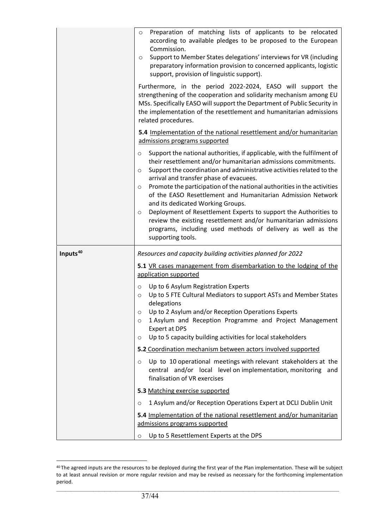|                      | Preparation of matching lists of applicants to be relocated<br>$\circ$<br>according to available pledges to be proposed to the European<br>Commission.<br>Support to Member States delegations' interviews for VR (including<br>$\circ$<br>preparatory information provision to concerned applicants, logistic<br>support, provision of linguistic support).<br>Furthermore, in the period 2022-2024, EASO will support the<br>strengthening of the cooperation and solidarity mechanism among EU<br>MSs. Specifically EASO will support the Department of Public Security in<br>the implementation of the resettlement and humanitarian admissions<br>related procedures.                                    |
|----------------------|---------------------------------------------------------------------------------------------------------------------------------------------------------------------------------------------------------------------------------------------------------------------------------------------------------------------------------------------------------------------------------------------------------------------------------------------------------------------------------------------------------------------------------------------------------------------------------------------------------------------------------------------------------------------------------------------------------------|
|                      | 5.4 Implementation of the national resettlement and/or humanitarian<br>admissions programs supported                                                                                                                                                                                                                                                                                                                                                                                                                                                                                                                                                                                                          |
|                      | Support the national authorities, if applicable, with the fulfilment of<br>O<br>their resettlement and/or humanitarian admissions commitments.<br>Support the coordination and administrative activities related to the<br>$\circ$<br>arrival and transfer phase of evacuees.<br>Promote the participation of the national authorities in the activities<br>$\circ$<br>of the EASO Resettlement and Humanitarian Admission Network<br>and its dedicated Working Groups.<br>Deployment of Resettlement Experts to support the Authorities to<br>$\circ$<br>review the existing resettlement and/or humanitarian admissions<br>programs, including used methods of delivery as well as the<br>supporting tools. |
| Inputs <sup>40</sup> | Resources and capacity building activities planned for 2022                                                                                                                                                                                                                                                                                                                                                                                                                                                                                                                                                                                                                                                   |
|                      | 5.1 VR cases management from disembarkation to the lodging of the<br>application supported                                                                                                                                                                                                                                                                                                                                                                                                                                                                                                                                                                                                                    |
|                      | Up to 6 Asylum Registration Experts<br>O<br>Up to 5 FTE Cultural Mediators to support ASTs and Member States<br>$\circ$<br>delegations<br>Up to 2 Asylum and/or Reception Operations Experts<br>O<br>1 Asylum and Reception Programme and Project Management<br>O<br><b>Expert at DPS</b><br>Up to 5 capacity building activities for local stakeholders<br>$\circ$                                                                                                                                                                                                                                                                                                                                           |
|                      | 5.2 Coordination mechanism between actors involved supported                                                                                                                                                                                                                                                                                                                                                                                                                                                                                                                                                                                                                                                  |
|                      | Up to 10 operational meetings with relevant stakeholders at the<br>$\circ$<br>central and/or local level on implementation, monitoring and<br>finalisation of VR exercises                                                                                                                                                                                                                                                                                                                                                                                                                                                                                                                                    |
|                      | 5.3 Matching exercise supported                                                                                                                                                                                                                                                                                                                                                                                                                                                                                                                                                                                                                                                                               |
|                      | 1 Asylum and/or Reception Operations Expert at DCLI Dublin Unit<br>$\circ$                                                                                                                                                                                                                                                                                                                                                                                                                                                                                                                                                                                                                                    |
|                      | 5.4 Implementation of the national resettlement and/or humanitarian<br>admissions programs supported                                                                                                                                                                                                                                                                                                                                                                                                                                                                                                                                                                                                          |
|                      | Up to 5 Resettlement Experts at the DPS<br>O                                                                                                                                                                                                                                                                                                                                                                                                                                                                                                                                                                                                                                                                  |

<span id="page-36-0"></span><sup>&</sup>lt;sup>40</sup> The agreed inputs are the resources to be deployed during the first year of the Plan implementation. These will be subject to at least annual revision or more regular revision and may be revised as necessary for the forthcoming implementation period.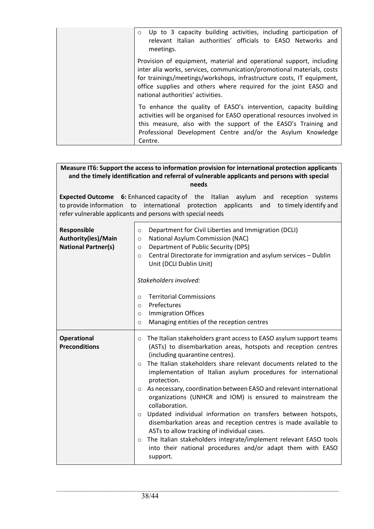| Up to 3 capacity building activities, including participation of<br>$\circ$<br>relevant Italian authorities' officials to EASO Networks and<br>meetings.                                                                                                                                                                        |
|---------------------------------------------------------------------------------------------------------------------------------------------------------------------------------------------------------------------------------------------------------------------------------------------------------------------------------|
| Provision of equipment, material and operational support, including<br>inter alia works, services, communication/promotional materials, costs<br>for trainings/meetings/workshops, infrastructure costs, IT equipment,<br>office supplies and others where required for the joint EASO and<br>national authorities' activities. |
| To enhance the quality of EASO's intervention, capacity building<br>activities will be organised for EASO operational resources involved in<br>this measure, also with the support of the EASO's Training and<br>Professional Development Centre and/or the Asylum Knowledge<br>Centre.                                         |

#### **Measure IT6: Support the access to information provision for international protection applicants and the timely identification and referral of vulnerable applicants and persons with special needs**

**Expected Outcome 6:** Enhanced capacity of the Italian asylum and reception systems to provide information to international protection applicants and to timely identify and refer vulnerable applicants and persons with special needs

| <b>Responsible</b><br>Authority(ies)/Main<br><b>National Partner(s)</b> | Department for Civil Liberties and Immigration (DCLI)<br>O<br>National Asylum Commission (NAC)<br>$\circ$<br>Department of Public Security (DPS)<br>$\circ$<br>Central Directorate for immigration and asylum services - Dublin<br>$\circ$<br>Unit (DCLI Dublin Unit)<br>Stakeholders involved:<br><b>Territorial Commissions</b><br>$\Omega$<br>Prefectures<br>$\circ$<br><b>Immigration Offices</b><br>$\circ$<br>Managing entities of the reception centres<br>$\circ$                                                                                                                                                                                                                                                                                                                                                                                              |
|-------------------------------------------------------------------------|------------------------------------------------------------------------------------------------------------------------------------------------------------------------------------------------------------------------------------------------------------------------------------------------------------------------------------------------------------------------------------------------------------------------------------------------------------------------------------------------------------------------------------------------------------------------------------------------------------------------------------------------------------------------------------------------------------------------------------------------------------------------------------------------------------------------------------------------------------------------|
| <b>Operational</b><br><b>Preconditions</b>                              | The Italian stakeholders grant access to EASO asylum support teams<br>O<br>(ASTs) to disembarkation areas, hotspots and reception centres<br>(including quarantine centres).<br>The Italian stakeholders share relevant documents related to the<br>$\bigcirc$<br>implementation of Italian asylum procedures for international<br>protection.<br>As necessary, coordination between EASO and relevant international<br>$\circ$<br>organizations (UNHCR and IOM) is ensured to mainstream the<br>collaboration.<br>Updated individual information on transfers between hotspots,<br>$\circ$<br>disembarkation areas and reception centres is made available to<br>ASTs to allow tracking of individual cases.<br>The Italian stakeholders integrate/implement relevant EASO tools<br>$\circ$<br>into their national procedures and/or adapt them with EASO<br>support. |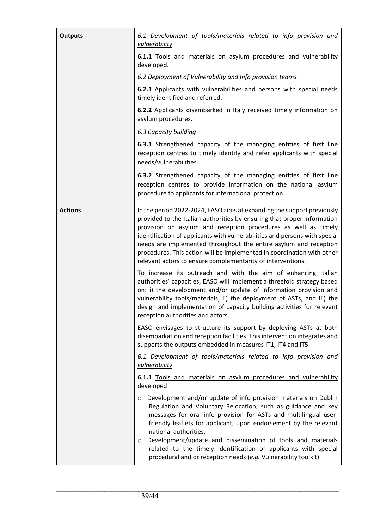| <b>Outputs</b> | 6.1 Development of tools/materials related to info provision and<br>vulnerability                                                                                                                                                                                                                                                                                                                                                                                                                                             |
|----------------|-------------------------------------------------------------------------------------------------------------------------------------------------------------------------------------------------------------------------------------------------------------------------------------------------------------------------------------------------------------------------------------------------------------------------------------------------------------------------------------------------------------------------------|
|                | 6.1.1 Tools and materials on asylum procedures and vulnerability<br>developed.                                                                                                                                                                                                                                                                                                                                                                                                                                                |
|                | 6.2 Deployment of Vulnerability and Info provision teams                                                                                                                                                                                                                                                                                                                                                                                                                                                                      |
|                | 6.2.1 Applicants with vulnerabilities and persons with special needs<br>timely identified and referred.                                                                                                                                                                                                                                                                                                                                                                                                                       |
|                | 6.2.2 Applicants disembarked in Italy received timely information on<br>asylum procedures.                                                                                                                                                                                                                                                                                                                                                                                                                                    |
|                | 6.3 Capacity building                                                                                                                                                                                                                                                                                                                                                                                                                                                                                                         |
|                | 6.3.1 Strengthened capacity of the managing entities of first line<br>reception centres to timely identify and refer applicants with special<br>needs/vulnerabilities.                                                                                                                                                                                                                                                                                                                                                        |
|                | 6.3.2 Strengthened capacity of the managing entities of first line<br>reception centres to provide information on the national asylum<br>procedure to applicants for international protection.                                                                                                                                                                                                                                                                                                                                |
| <b>Actions</b> | In the period 2022-2024, EASO aims at expanding the support previously<br>provided to the Italian authorities by ensuring that proper information<br>provision on asylum and reception procedures as well as timely<br>identification of applicants with vulnerabilities and persons with special<br>needs are implemented throughout the entire asylum and reception<br>procedures. This action will be implemented in coordination with other<br>relevant actors to ensure complementarity of interventions.                |
|                | To increase its outreach and with the aim of enhancing Italian<br>authorities' capacities, EASO will implement a threefold strategy based<br>on: i) the development and/or update of information provision and<br>vulnerability tools/materials, ii) the deployment of ASTs, and iii) the<br>design and implementation of capacity building activities for relevant<br>reception authorities and actors.                                                                                                                      |
|                | EASO envisages to structure its support by deploying ASTs at both<br>disembarkation and reception facilities. This intervention integrates and<br>supports the outputs embedded in measures IT1, IT4 and IT5.                                                                                                                                                                                                                                                                                                                 |
|                | 6.1 Development of tools/materials related to info provision and<br><b>vulnerability</b>                                                                                                                                                                                                                                                                                                                                                                                                                                      |
|                | 6.1.1 Tools and materials on asylum procedures and vulnerability<br>developed                                                                                                                                                                                                                                                                                                                                                                                                                                                 |
|                | Development and/or update of info provision materials on Dublin<br>$\circ$<br>Regulation and Voluntary Relocation, such as guidance and key<br>messages for oral info provision for ASTs and multilingual user-<br>friendly leaflets for applicant, upon endorsement by the relevant<br>national authorities.<br>Development/update and dissemination of tools and materials<br>$\circ$<br>related to the timely identification of applicants with special<br>procedural and or reception needs (e.g. Vulnerability toolkit). |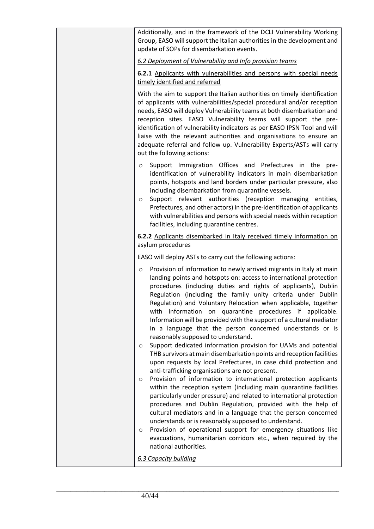| Additionally, and in the framework of the DCLI Vulnerability Working    |
|-------------------------------------------------------------------------|
| Group, EASO will support the Italian authorities in the development and |
| update of SOPs for disembarkation events.                               |

*6.2 Deployment of Vulnerability and Info provision teams*

**6.2.1** Applicants with vulnerabilities and persons with special needs timely identified and referred

With the aim to support the Italian authorities on timely identification of applicants with vulnerabilities/special procedural and/or reception needs, EASO will deploy Vulnerability teams at both disembarkation and reception sites. EASO Vulnerability teams will support the preidentification of vulnerability indicators as per EASO IPSN Tool and will liaise with the relevant authorities and organisations to ensure an adequate referral and follow up. Vulnerability Experts/ASTs will carry out the following actions:

- o Support Immigration Offices and Prefectures in the preidentification of vulnerability indicators in main disembarkation points, hotspots and land borders under particular pressure, also including disembarkation from quarantine vessels.
- o Support relevant authorities (reception managing entities, Prefectures, and other actors) in the pre-identification of applicants with vulnerabilities and persons with special needs within reception facilities, including quarantine centres.

**6.2.2** Applicants disembarked in Italy received timely information on asylum procedures

EASO will deploy ASTs to carry out the following actions:

- Provision of information to newly arrived migrants in Italy at main landing points and hotspots on: access to international protection procedures (including duties and rights of applicants), Dublin Regulation (including the family unity criteria under Dublin Regulation) and Voluntary Relocation when applicable, together with information on quarantine procedures if applicable. Information will be provided with the support of a cultural mediator in a language that the person concerned understands or is reasonably supposed to understand.
- o Support dedicated information provision for UAMs and potential THB survivors at main disembarkation points and reception facilities upon requests by local Prefectures, in case child protection and anti-trafficking organisations are not present.
- o Provision of information to international protection applicants within the reception system (including main quarantine facilities particularly under pressure) and related to international protection procedures and Dublin Regulation, provided with the help of cultural mediators and in a language that the person concerned understands or is reasonably supposed to understand.
- o Provision of operational support for emergency situations like evacuations, humanitarian corridors etc., when required by the national authorities.

*6.3 Capacity building*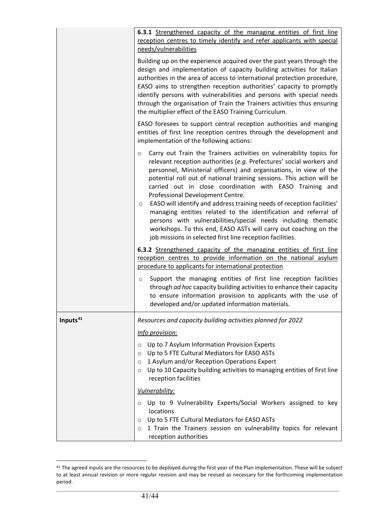|                      | 6.3.1 Strengthened capacity of the managing entities of first line<br>reception centres to timely identify and refer applicants with special<br>needs/vulnerabilities                                                                                                                                                                                                                                                                                                                                                                                                                                                                                                                                                                                           |
|----------------------|-----------------------------------------------------------------------------------------------------------------------------------------------------------------------------------------------------------------------------------------------------------------------------------------------------------------------------------------------------------------------------------------------------------------------------------------------------------------------------------------------------------------------------------------------------------------------------------------------------------------------------------------------------------------------------------------------------------------------------------------------------------------|
|                      | Building up on the experience acquired over the past years through the<br>design and implementation of capacity building activities for Italian<br>authorities in the area of access to international protection procedure,<br>EASO aims to strengthen reception authorities' capacity to promptly<br>identify persons with vulnerabilities and persons with special needs<br>through the organisation of Train the Trainers activities thus ensuring<br>the multiplier effect of the EASO Training Curriculum.                                                                                                                                                                                                                                                 |
|                      | EASO foresees to support central reception authorities and manging<br>entities of first line reception centres through the development and<br>implementation of the following actions:                                                                                                                                                                                                                                                                                                                                                                                                                                                                                                                                                                          |
|                      | Carry out Train the Trainers activities on vulnerability topics for<br>$\circ$<br>relevant reception authorities (e.g. Prefectures' social workers and<br>personnel, Ministerial officers) and organisations, in view of the<br>potential roll out of national training sessions. This action will be<br>carried out in close coordination with EASO Training and<br>Professional Development Centre.<br>EASO will identify and address training needs of reception facilities'<br>$\circ$<br>managing entities related to the identification and referral of<br>persons with vulnerabilities/special needs including thematic<br>workshops. To this end, EASO ASTs will carry out coaching on the<br>job missions in selected first line reception facilities. |
|                      | 6.3.2 Strengthened capacity of the managing entities of first line<br>reception centres to provide information on the national asylum                                                                                                                                                                                                                                                                                                                                                                                                                                                                                                                                                                                                                           |
|                      | procedure to applicants for international protection                                                                                                                                                                                                                                                                                                                                                                                                                                                                                                                                                                                                                                                                                                            |
|                      | Support the managing entities of first line reception facilities<br>$\circ$<br>through ad hoc capacity building activities to enhance their capacity<br>to ensure information provision to applicants with the use of<br>developed and/or updated information materials.                                                                                                                                                                                                                                                                                                                                                                                                                                                                                        |
| Inputs <sup>41</sup> | Resources and capacity building activities planned for 2022                                                                                                                                                                                                                                                                                                                                                                                                                                                                                                                                                                                                                                                                                                     |
|                      | Info provision:                                                                                                                                                                                                                                                                                                                                                                                                                                                                                                                                                                                                                                                                                                                                                 |
|                      | Up to 7 Asylum Information Provision Experts<br>$\circ$<br>Up to 5 FTE Cultural Mediators for EASO ASTs<br>$\circ$<br>1 Asylum and/or Reception Operations Expert<br>$\circ$<br>Up to 10 Capacity building activities to managing entities of first line<br>$\circ$<br>reception facilities                                                                                                                                                                                                                                                                                                                                                                                                                                                                     |
|                      | Vulnerability:                                                                                                                                                                                                                                                                                                                                                                                                                                                                                                                                                                                                                                                                                                                                                  |
|                      | Up to 9 Vulnerability Experts/Social Workers assigned to key<br>$\circ$<br>locations<br>Up to 5 FTE Cultural Mediators for EASO ASTs<br>$\circ$<br>1 Train the Trainers session on vulnerability topics for relevant<br>$\circ$<br>reception authorities                                                                                                                                                                                                                                                                                                                                                                                                                                                                                                        |

<span id="page-40-0"></span><sup>&</sup>lt;sup>41</sup> The agreed inputs are the resources to be deployed during the first year of the Plan implementation. These will be subject to at least annual revision or more regular revision and may be revised as necessary for the forthcoming implementation period.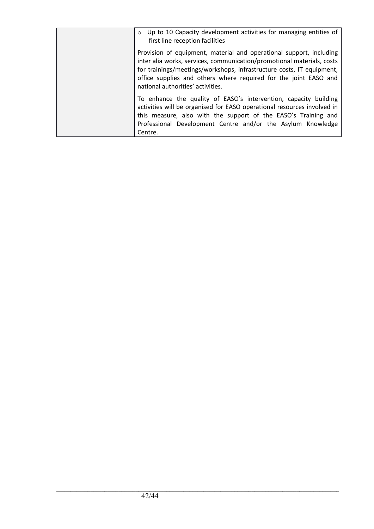| $\circ$ Up to 10 Capacity development activities for managing entities of<br>first line reception facilities                                                                                                                                                                                                                    |
|---------------------------------------------------------------------------------------------------------------------------------------------------------------------------------------------------------------------------------------------------------------------------------------------------------------------------------|
| Provision of equipment, material and operational support, including<br>inter alia works, services, communication/promotional materials, costs<br>for trainings/meetings/workshops, infrastructure costs, IT equipment,<br>office supplies and others where required for the joint EASO and<br>national authorities' activities. |
| To enhance the quality of EASO's intervention, capacity building<br>activities will be organised for EASO operational resources involved in<br>this measure, also with the support of the EASO's Training and<br>Professional Development Centre and/or the Asylum Knowledge<br>Centre.                                         |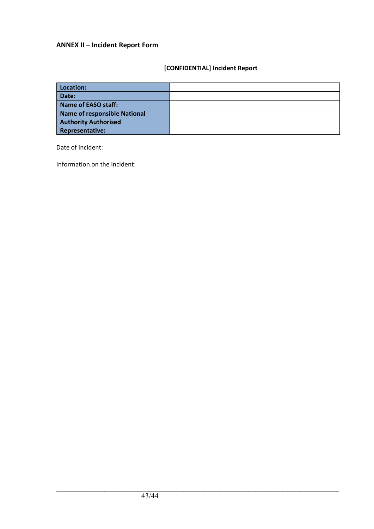# **ANNEX II – Incident Report Form**

# **[CONFIDENTIAL] Incident Report**

| Location:                           |  |
|-------------------------------------|--|
| Date:                               |  |
| <b>Name of EASO staff:</b>          |  |
| <b>Name of responsible National</b> |  |
| <b>Authority Authorised</b>         |  |
| <b>Representative:</b>              |  |

Date of incident:

Information on the incident: